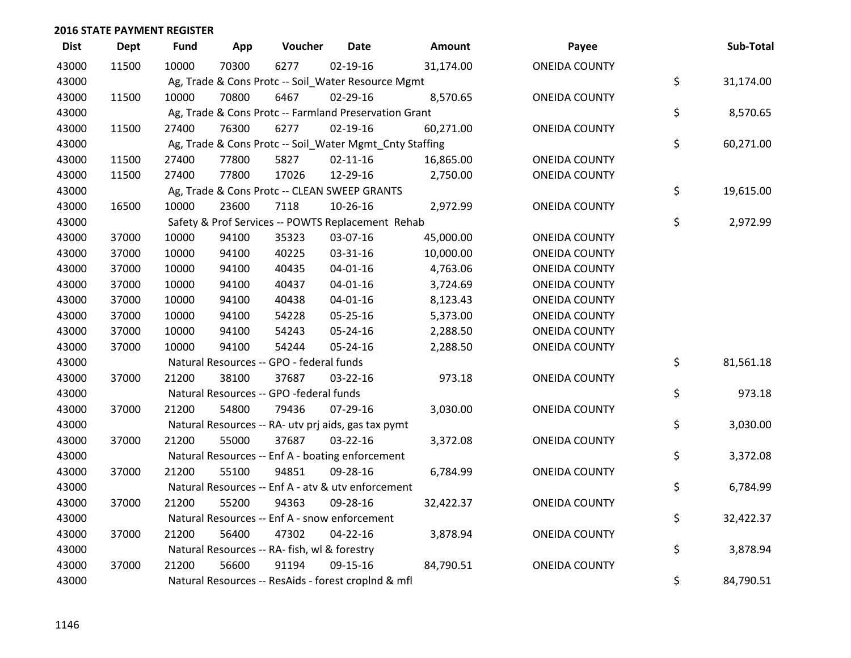| <b>Dist</b> | <b>Dept</b> | Fund  | App   | Voucher                                                 | <b>Date</b>    | Amount    | Payee                | Sub-Total       |
|-------------|-------------|-------|-------|---------------------------------------------------------|----------------|-----------|----------------------|-----------------|
| 43000       | 11500       | 10000 | 70300 | 6277                                                    | 02-19-16       | 31,174.00 | <b>ONEIDA COUNTY</b> |                 |
| 43000       |             |       |       | Ag, Trade & Cons Protc -- Soil_Water Resource Mgmt      |                |           |                      | \$<br>31,174.00 |
| 43000       | 11500       | 10000 | 70800 | 6467                                                    | 02-29-16       | 8,570.65  | <b>ONEIDA COUNTY</b> |                 |
| 43000       |             |       |       | Ag, Trade & Cons Protc -- Farmland Preservation Grant   |                |           |                      | \$<br>8,570.65  |
| 43000       | 11500       | 27400 | 76300 | 6277                                                    | 02-19-16       | 60,271.00 | <b>ONEIDA COUNTY</b> |                 |
| 43000       |             |       |       | Ag, Trade & Cons Protc -- Soil_Water Mgmt_Cnty Staffing |                |           |                      | \$<br>60,271.00 |
| 43000       | 11500       | 27400 | 77800 | 5827                                                    | $02 - 11 - 16$ | 16,865.00 | <b>ONEIDA COUNTY</b> |                 |
| 43000       | 11500       | 27400 | 77800 | 17026                                                   | 12-29-16       | 2,750.00  | <b>ONEIDA COUNTY</b> |                 |
| 43000       |             |       |       | Ag, Trade & Cons Protc -- CLEAN SWEEP GRANTS            |                |           |                      | \$<br>19,615.00 |
| 43000       | 16500       | 10000 | 23600 | 7118                                                    | 10-26-16       | 2,972.99  | <b>ONEIDA COUNTY</b> |                 |
| 43000       |             |       |       | Safety & Prof Services -- POWTS Replacement Rehab       |                |           |                      | \$<br>2,972.99  |
| 43000       | 37000       | 10000 | 94100 | 35323                                                   | 03-07-16       | 45,000.00 | <b>ONEIDA COUNTY</b> |                 |
| 43000       | 37000       | 10000 | 94100 | 40225                                                   | 03-31-16       | 10,000.00 | <b>ONEIDA COUNTY</b> |                 |
| 43000       | 37000       | 10000 | 94100 | 40435                                                   | $04 - 01 - 16$ | 4,763.06  | <b>ONEIDA COUNTY</b> |                 |
| 43000       | 37000       | 10000 | 94100 | 40437                                                   | $04 - 01 - 16$ | 3,724.69  | <b>ONEIDA COUNTY</b> |                 |
| 43000       | 37000       | 10000 | 94100 | 40438                                                   | $04 - 01 - 16$ | 8,123.43  | <b>ONEIDA COUNTY</b> |                 |
| 43000       | 37000       | 10000 | 94100 | 54228                                                   | 05-25-16       | 5,373.00  | <b>ONEIDA COUNTY</b> |                 |
| 43000       | 37000       | 10000 | 94100 | 54243                                                   | 05-24-16       | 2,288.50  | <b>ONEIDA COUNTY</b> |                 |
| 43000       | 37000       | 10000 | 94100 | 54244                                                   | 05-24-16       | 2,288.50  | <b>ONEIDA COUNTY</b> |                 |
| 43000       |             |       |       | Natural Resources -- GPO - federal funds                |                |           |                      | \$<br>81,561.18 |
| 43000       | 37000       | 21200 | 38100 | 37687                                                   | 03-22-16       | 973.18    | <b>ONEIDA COUNTY</b> |                 |
| 43000       |             |       |       | Natural Resources -- GPO -federal funds                 |                |           |                      | \$<br>973.18    |
| 43000       | 37000       | 21200 | 54800 | 79436                                                   | 07-29-16       | 3,030.00  | <b>ONEIDA COUNTY</b> |                 |
| 43000       |             |       |       | Natural Resources -- RA- utv prj aids, gas tax pymt     |                |           |                      | \$<br>3,030.00  |
| 43000       | 37000       | 21200 | 55000 | 37687                                                   | 03-22-16       | 3,372.08  | <b>ONEIDA COUNTY</b> |                 |
| 43000       |             |       |       | Natural Resources -- Enf A - boating enforcement        |                |           |                      | \$<br>3,372.08  |
| 43000       | 37000       | 21200 | 55100 | 94851                                                   | 09-28-16       | 6,784.99  | <b>ONEIDA COUNTY</b> |                 |
| 43000       |             |       |       | Natural Resources -- Enf A - atv & utv enforcement      |                |           |                      | \$<br>6,784.99  |
| 43000       | 37000       | 21200 | 55200 | 94363                                                   | 09-28-16       | 32,422.37 | <b>ONEIDA COUNTY</b> |                 |
| 43000       |             |       |       | Natural Resources -- Enf A - snow enforcement           |                |           |                      | \$<br>32,422.37 |
| 43000       | 37000       | 21200 | 56400 | 47302                                                   | 04-22-16       | 3,878.94  | <b>ONEIDA COUNTY</b> |                 |
| 43000       |             |       |       | Natural Resources -- RA- fish, wl & forestry            |                |           |                      | \$<br>3,878.94  |
| 43000       | 37000       | 21200 | 56600 | 91194                                                   | 09-15-16       | 84,790.51 | <b>ONEIDA COUNTY</b> |                 |
| 43000       |             |       |       | Natural Resources -- ResAids - forest croplnd & mfl     |                |           |                      | \$<br>84,790.51 |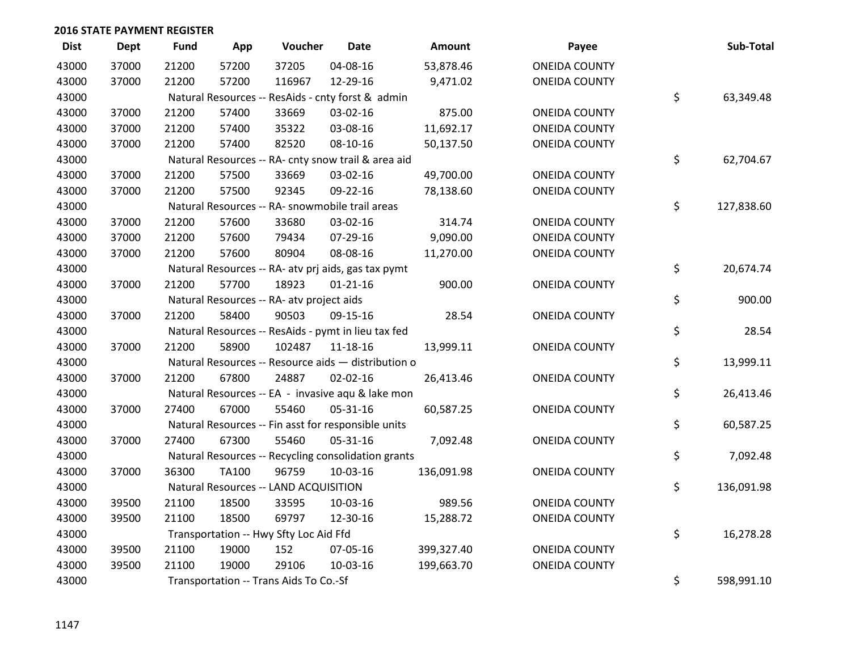| <b>Dist</b> | Dept  | <b>Fund</b> | App          | Voucher                                   | <b>Date</b>                                         | Amount     | Payee                | Sub-Total        |
|-------------|-------|-------------|--------------|-------------------------------------------|-----------------------------------------------------|------------|----------------------|------------------|
| 43000       | 37000 | 21200       | 57200        | 37205                                     | 04-08-16                                            | 53,878.46  | <b>ONEIDA COUNTY</b> |                  |
| 43000       | 37000 | 21200       | 57200        | 116967                                    | 12-29-16                                            | 9,471.02   | <b>ONEIDA COUNTY</b> |                  |
| 43000       |       |             |              |                                           | Natural Resources -- ResAids - cnty forst & admin   |            |                      | \$<br>63,349.48  |
| 43000       | 37000 | 21200       | 57400        | 33669                                     | 03-02-16                                            | 875.00     | <b>ONEIDA COUNTY</b> |                  |
| 43000       | 37000 | 21200       | 57400        | 35322                                     | 03-08-16                                            | 11,692.17  | <b>ONEIDA COUNTY</b> |                  |
| 43000       | 37000 | 21200       | 57400        | 82520                                     | 08-10-16                                            | 50,137.50  | <b>ONEIDA COUNTY</b> |                  |
| 43000       |       |             |              |                                           | Natural Resources -- RA- cnty snow trail & area aid |            |                      | \$<br>62,704.67  |
| 43000       | 37000 | 21200       | 57500        | 33669                                     | 03-02-16                                            | 49,700.00  | <b>ONEIDA COUNTY</b> |                  |
| 43000       | 37000 | 21200       | 57500        | 92345                                     | 09-22-16                                            | 78,138.60  | <b>ONEIDA COUNTY</b> |                  |
| 43000       |       |             |              |                                           | Natural Resources -- RA- snowmobile trail areas     |            |                      | \$<br>127,838.60 |
| 43000       | 37000 | 21200       | 57600        | 33680                                     | 03-02-16                                            | 314.74     | <b>ONEIDA COUNTY</b> |                  |
| 43000       | 37000 | 21200       | 57600        | 79434                                     | 07-29-16                                            | 9,090.00   | <b>ONEIDA COUNTY</b> |                  |
| 43000       | 37000 | 21200       | 57600        | 80904                                     | 08-08-16                                            | 11,270.00  | <b>ONEIDA COUNTY</b> |                  |
| 43000       |       |             |              |                                           | Natural Resources -- RA- atv prj aids, gas tax pymt |            |                      | \$<br>20,674.74  |
| 43000       | 37000 | 21200       | 57700        | 18923                                     | $01 - 21 - 16$                                      | 900.00     | <b>ONEIDA COUNTY</b> |                  |
| 43000       |       |             |              | Natural Resources -- RA- atv project aids |                                                     |            |                      | \$<br>900.00     |
| 43000       | 37000 | 21200       | 58400        | 90503                                     | 09-15-16                                            | 28.54      | <b>ONEIDA COUNTY</b> |                  |
| 43000       |       |             |              |                                           | Natural Resources -- ResAids - pymt in lieu tax fed |            |                      | \$<br>28.54      |
| 43000       | 37000 | 21200       | 58900        | 102487                                    | 11-18-16                                            | 13,999.11  | <b>ONEIDA COUNTY</b> |                  |
| 43000       |       |             |              |                                           | Natural Resources -- Resource aids - distribution o |            |                      | \$<br>13,999.11  |
| 43000       | 37000 | 21200       | 67800        | 24887                                     | $02 - 02 - 16$                                      | 26,413.46  | <b>ONEIDA COUNTY</b> |                  |
| 43000       |       |             |              |                                           | Natural Resources -- EA - invasive aqu & lake mon   |            |                      | \$<br>26,413.46  |
| 43000       | 37000 | 27400       | 67000        | 55460                                     | 05-31-16                                            | 60,587.25  | <b>ONEIDA COUNTY</b> |                  |
| 43000       |       |             |              |                                           | Natural Resources -- Fin asst for responsible units |            |                      | \$<br>60,587.25  |
| 43000       | 37000 | 27400       | 67300        | 55460                                     | 05-31-16                                            | 7,092.48   | <b>ONEIDA COUNTY</b> |                  |
| 43000       |       |             |              |                                           | Natural Resources -- Recycling consolidation grants |            |                      | \$<br>7,092.48   |
| 43000       | 37000 | 36300       | <b>TA100</b> | 96759                                     | 10-03-16                                            | 136,091.98 | <b>ONEIDA COUNTY</b> |                  |
| 43000       |       |             |              | Natural Resources -- LAND ACQUISITION     |                                                     |            |                      | \$<br>136,091.98 |
| 43000       | 39500 | 21100       | 18500        | 33595                                     | 10-03-16                                            | 989.56     | <b>ONEIDA COUNTY</b> |                  |
| 43000       | 39500 | 21100       | 18500        | 69797                                     | 12-30-16                                            | 15,288.72  | <b>ONEIDA COUNTY</b> |                  |
| 43000       |       |             |              | Transportation -- Hwy Sfty Loc Aid Ffd    |                                                     |            |                      | \$<br>16,278.28  |
| 43000       | 39500 | 21100       | 19000        | 152                                       | 07-05-16                                            | 399,327.40 | <b>ONEIDA COUNTY</b> |                  |
| 43000       | 39500 | 21100       | 19000        | 29106                                     | 10-03-16                                            | 199,663.70 | <b>ONEIDA COUNTY</b> |                  |
| 43000       |       |             |              | Transportation -- Trans Aids To Co.-Sf    |                                                     |            |                      | \$<br>598,991.10 |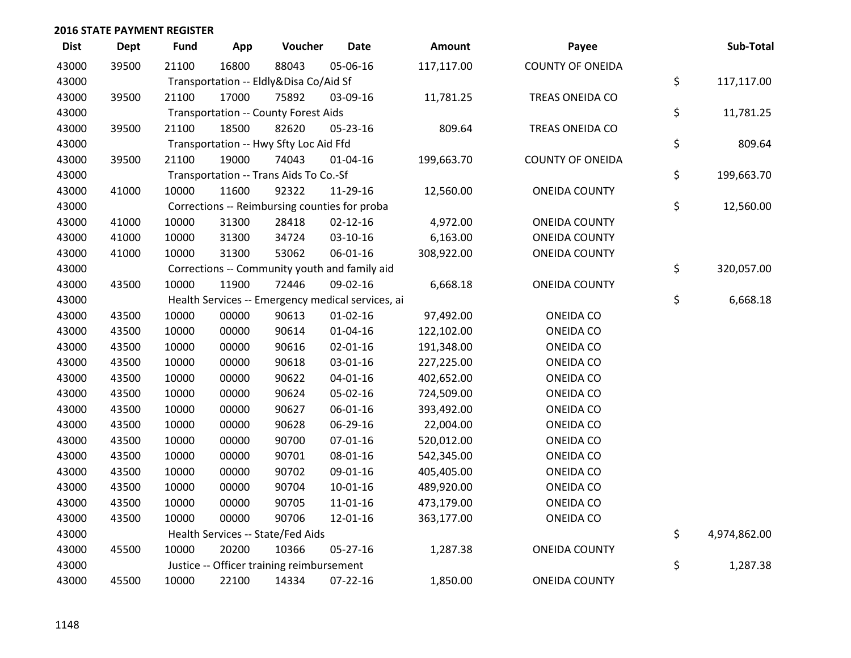| <b>Dist</b> | <b>Dept</b> | <b>Fund</b> | App   | Voucher                                     | <b>Date</b>                                       | Amount     | Payee                   | Sub-Total          |
|-------------|-------------|-------------|-------|---------------------------------------------|---------------------------------------------------|------------|-------------------------|--------------------|
| 43000       | 39500       | 21100       | 16800 | 88043                                       | 05-06-16                                          | 117,117.00 | <b>COUNTY OF ONEIDA</b> |                    |
| 43000       |             |             |       | Transportation -- Eldly&Disa Co/Aid Sf      |                                                   |            |                         | \$<br>117,117.00   |
| 43000       | 39500       | 21100       | 17000 | 75892                                       | 03-09-16                                          | 11,781.25  | TREAS ONEIDA CO         |                    |
| 43000       |             |             |       | <b>Transportation -- County Forest Aids</b> |                                                   |            |                         | \$<br>11,781.25    |
| 43000       | 39500       | 21100       | 18500 | 82620                                       | 05-23-16                                          | 809.64     | TREAS ONEIDA CO         |                    |
| 43000       |             |             |       | Transportation -- Hwy Sfty Loc Aid Ffd      |                                                   |            |                         | \$<br>809.64       |
| 43000       | 39500       | 21100       | 19000 | 74043                                       | 01-04-16                                          | 199,663.70 | <b>COUNTY OF ONEIDA</b> |                    |
| 43000       |             |             |       | Transportation -- Trans Aids To Co.-Sf      |                                                   |            |                         | \$<br>199,663.70   |
| 43000       | 41000       | 10000       | 11600 | 92322                                       | 11-29-16                                          | 12,560.00  | <b>ONEIDA COUNTY</b>    |                    |
| 43000       |             |             |       |                                             | Corrections -- Reimbursing counties for proba     |            |                         | \$<br>12,560.00    |
| 43000       | 41000       | 10000       | 31300 | 28418                                       | $02 - 12 - 16$                                    | 4,972.00   | <b>ONEIDA COUNTY</b>    |                    |
| 43000       | 41000       | 10000       | 31300 | 34724                                       | 03-10-16                                          | 6,163.00   | <b>ONEIDA COUNTY</b>    |                    |
| 43000       | 41000       | 10000       | 31300 | 53062                                       | 06-01-16                                          | 308,922.00 | <b>ONEIDA COUNTY</b>    |                    |
| 43000       |             |             |       |                                             | Corrections -- Community youth and family aid     |            |                         | \$<br>320,057.00   |
| 43000       | 43500       | 10000       | 11900 | 72446                                       | 09-02-16                                          | 6,668.18   | <b>ONEIDA COUNTY</b>    |                    |
| 43000       |             |             |       |                                             | Health Services -- Emergency medical services, ai |            |                         | \$<br>6,668.18     |
| 43000       | 43500       | 10000       | 00000 | 90613                                       | $01 - 02 - 16$                                    | 97,492.00  | ONEIDA CO               |                    |
| 43000       | 43500       | 10000       | 00000 | 90614                                       | 01-04-16                                          | 122,102.00 | ONEIDA CO               |                    |
| 43000       | 43500       | 10000       | 00000 | 90616                                       | $02 - 01 - 16$                                    | 191,348.00 | ONEIDA CO               |                    |
| 43000       | 43500       | 10000       | 00000 | 90618                                       | 03-01-16                                          | 227,225.00 | ONEIDA CO               |                    |
| 43000       | 43500       | 10000       | 00000 | 90622                                       | $04 - 01 - 16$                                    | 402,652.00 | ONEIDA CO               |                    |
| 43000       | 43500       | 10000       | 00000 | 90624                                       | 05-02-16                                          | 724,509.00 | ONEIDA CO               |                    |
| 43000       | 43500       | 10000       | 00000 | 90627                                       | 06-01-16                                          | 393,492.00 | ONEIDA CO               |                    |
| 43000       | 43500       | 10000       | 00000 | 90628                                       | 06-29-16                                          | 22,004.00  | ONEIDA CO               |                    |
| 43000       | 43500       | 10000       | 00000 | 90700                                       | $07 - 01 - 16$                                    | 520,012.00 | ONEIDA CO               |                    |
| 43000       | 43500       | 10000       | 00000 | 90701                                       | 08-01-16                                          | 542,345.00 | ONEIDA CO               |                    |
| 43000       | 43500       | 10000       | 00000 | 90702                                       | 09-01-16                                          | 405,405.00 | ONEIDA CO               |                    |
| 43000       | 43500       | 10000       | 00000 | 90704                                       | 10-01-16                                          | 489,920.00 | ONEIDA CO               |                    |
| 43000       | 43500       | 10000       | 00000 | 90705                                       | 11-01-16                                          | 473,179.00 | ONEIDA CO               |                    |
| 43000       | 43500       | 10000       | 00000 | 90706                                       | 12-01-16                                          | 363,177.00 | <b>ONEIDA CO</b>        |                    |
| 43000       |             |             |       | Health Services -- State/Fed Aids           |                                                   |            |                         | \$<br>4,974,862.00 |
| 43000       | 45500       | 10000       | 20200 | 10366                                       | 05-27-16                                          | 1,287.38   | <b>ONEIDA COUNTY</b>    |                    |
| 43000       |             |             |       | Justice -- Officer training reimbursement   |                                                   |            |                         | \$<br>1,287.38     |
| 43000       | 45500       | 10000       | 22100 | 14334                                       | $07 - 22 - 16$                                    | 1,850.00   | <b>ONEIDA COUNTY</b>    |                    |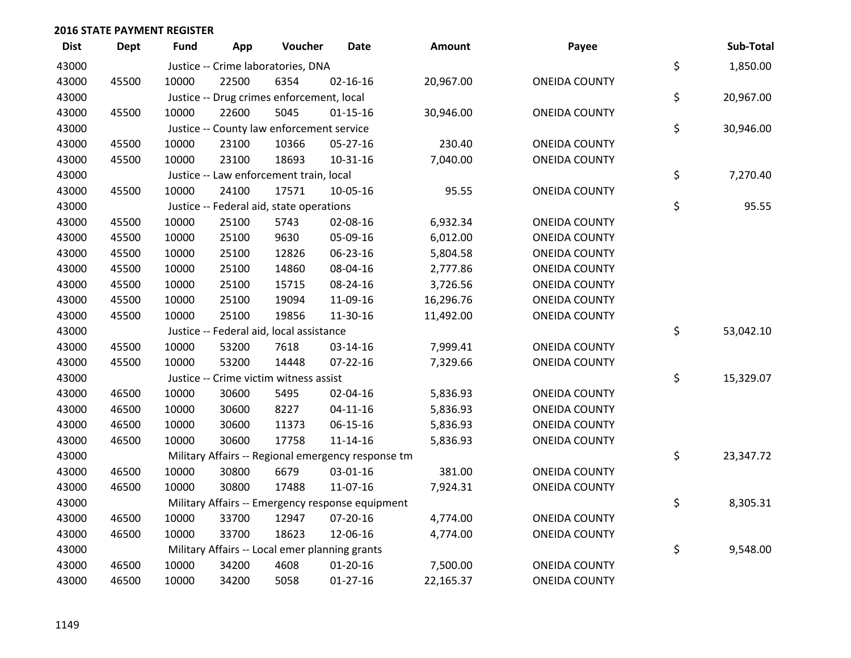| <b>Dist</b> | <b>Dept</b> | <b>Fund</b> | App   | Voucher                                        | Date                                               | Amount    | Payee                | Sub-Total       |
|-------------|-------------|-------------|-------|------------------------------------------------|----------------------------------------------------|-----------|----------------------|-----------------|
| 43000       |             |             |       | Justice -- Crime laboratories, DNA             |                                                    |           |                      | \$<br>1,850.00  |
| 43000       | 45500       | 10000       | 22500 | 6354                                           | $02 - 16 - 16$                                     | 20,967.00 | <b>ONEIDA COUNTY</b> |                 |
| 43000       |             |             |       | Justice -- Drug crimes enforcement, local      |                                                    |           |                      | \$<br>20,967.00 |
| 43000       | 45500       | 10000       | 22600 | 5045                                           | $01 - 15 - 16$                                     | 30,946.00 | <b>ONEIDA COUNTY</b> |                 |
| 43000       |             |             |       | Justice -- County law enforcement service      |                                                    |           |                      | \$<br>30,946.00 |
| 43000       | 45500       | 10000       | 23100 | 10366                                          | $05 - 27 - 16$                                     | 230.40    | <b>ONEIDA COUNTY</b> |                 |
| 43000       | 45500       | 10000       | 23100 | 18693                                          | $10-31-16$                                         | 7,040.00  | <b>ONEIDA COUNTY</b> |                 |
| 43000       |             |             |       | Justice -- Law enforcement train, local        |                                                    |           |                      | \$<br>7,270.40  |
| 43000       | 45500       | 10000       | 24100 | 17571                                          | 10-05-16                                           | 95.55     | <b>ONEIDA COUNTY</b> |                 |
| 43000       |             |             |       | Justice -- Federal aid, state operations       |                                                    |           |                      | \$<br>95.55     |
| 43000       | 45500       | 10000       | 25100 | 5743                                           | 02-08-16                                           | 6,932.34  | <b>ONEIDA COUNTY</b> |                 |
| 43000       | 45500       | 10000       | 25100 | 9630                                           | 05-09-16                                           | 6,012.00  | <b>ONEIDA COUNTY</b> |                 |
| 43000       | 45500       | 10000       | 25100 | 12826                                          | 06-23-16                                           | 5,804.58  | <b>ONEIDA COUNTY</b> |                 |
| 43000       | 45500       | 10000       | 25100 | 14860                                          | 08-04-16                                           | 2,777.86  | <b>ONEIDA COUNTY</b> |                 |
| 43000       | 45500       | 10000       | 25100 | 15715                                          | 08-24-16                                           | 3,726.56  | <b>ONEIDA COUNTY</b> |                 |
| 43000       | 45500       | 10000       | 25100 | 19094                                          | 11-09-16                                           | 16,296.76 | <b>ONEIDA COUNTY</b> |                 |
| 43000       | 45500       | 10000       | 25100 | 19856                                          | 11-30-16                                           | 11,492.00 | <b>ONEIDA COUNTY</b> |                 |
| 43000       |             |             |       | Justice -- Federal aid, local assistance       |                                                    |           |                      | \$<br>53,042.10 |
| 43000       | 45500       | 10000       | 53200 | 7618                                           | 03-14-16                                           | 7,999.41  | <b>ONEIDA COUNTY</b> |                 |
| 43000       | 45500       | 10000       | 53200 | 14448                                          | 07-22-16                                           | 7,329.66  | <b>ONEIDA COUNTY</b> |                 |
| 43000       |             |             |       | Justice -- Crime victim witness assist         |                                                    |           |                      | \$<br>15,329.07 |
| 43000       | 46500       | 10000       | 30600 | 5495                                           | 02-04-16                                           | 5,836.93  | <b>ONEIDA COUNTY</b> |                 |
| 43000       | 46500       | 10000       | 30600 | 8227                                           | $04 - 11 - 16$                                     | 5,836.93  | <b>ONEIDA COUNTY</b> |                 |
| 43000       | 46500       | 10000       | 30600 | 11373                                          | $06 - 15 - 16$                                     | 5,836.93  | <b>ONEIDA COUNTY</b> |                 |
| 43000       | 46500       | 10000       | 30600 | 17758                                          | $11 - 14 - 16$                                     | 5,836.93  | <b>ONEIDA COUNTY</b> |                 |
| 43000       |             |             |       |                                                | Military Affairs -- Regional emergency response tm |           |                      | \$<br>23,347.72 |
| 43000       | 46500       | 10000       | 30800 | 6679                                           | 03-01-16                                           | 381.00    | <b>ONEIDA COUNTY</b> |                 |
| 43000       | 46500       | 10000       | 30800 | 17488                                          | 11-07-16                                           | 7,924.31  | <b>ONEIDA COUNTY</b> |                 |
| 43000       |             |             |       |                                                | Military Affairs -- Emergency response equipment   |           |                      | \$<br>8,305.31  |
| 43000       | 46500       | 10000       | 33700 | 12947                                          | $07 - 20 - 16$                                     | 4,774.00  | <b>ONEIDA COUNTY</b> |                 |
| 43000       | 46500       | 10000       | 33700 | 18623                                          | 12-06-16                                           | 4,774.00  | <b>ONEIDA COUNTY</b> |                 |
| 43000       |             |             |       | Military Affairs -- Local emer planning grants |                                                    |           |                      | \$<br>9,548.00  |
| 43000       | 46500       | 10000       | 34200 | 4608                                           | $01-20-16$                                         | 7,500.00  | <b>ONEIDA COUNTY</b> |                 |
| 43000       | 46500       | 10000       | 34200 | 5058                                           | $01-27-16$                                         | 22,165.37 | <b>ONEIDA COUNTY</b> |                 |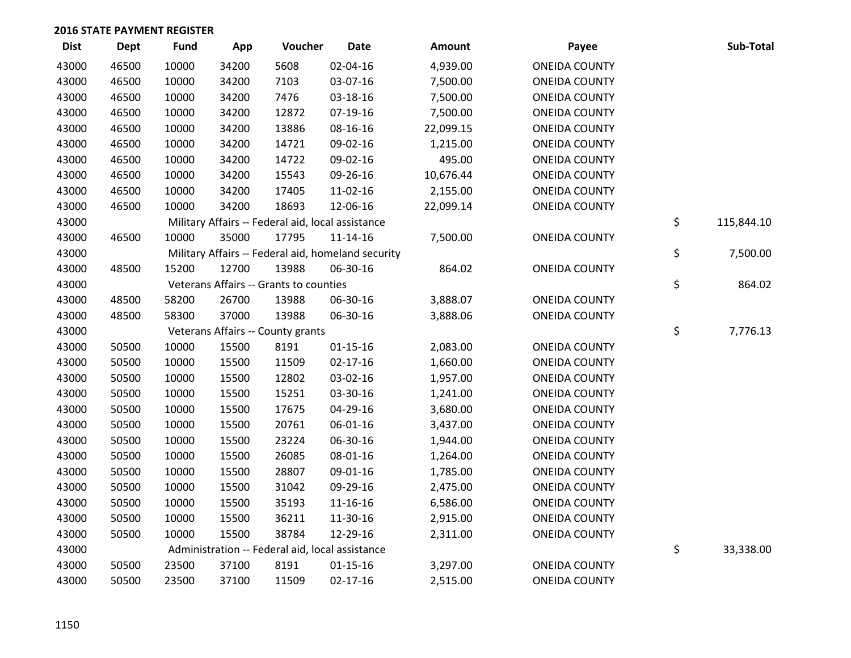| <b>Dist</b> | <b>Dept</b> | <b>Fund</b> | App   | Voucher                                            | <b>Date</b>    | <b>Amount</b> | Payee                | Sub-Total        |
|-------------|-------------|-------------|-------|----------------------------------------------------|----------------|---------------|----------------------|------------------|
| 43000       | 46500       | 10000       | 34200 | 5608                                               | 02-04-16       | 4,939.00      | <b>ONEIDA COUNTY</b> |                  |
| 43000       | 46500       | 10000       | 34200 | 7103                                               | 03-07-16       | 7,500.00      | <b>ONEIDA COUNTY</b> |                  |
| 43000       | 46500       | 10000       | 34200 | 7476                                               | 03-18-16       | 7,500.00      | <b>ONEIDA COUNTY</b> |                  |
| 43000       | 46500       | 10000       | 34200 | 12872                                              | $07-19-16$     | 7,500.00      | <b>ONEIDA COUNTY</b> |                  |
| 43000       | 46500       | 10000       | 34200 | 13886                                              | 08-16-16       | 22,099.15     | <b>ONEIDA COUNTY</b> |                  |
| 43000       | 46500       | 10000       | 34200 | 14721                                              | 09-02-16       | 1,215.00      | <b>ONEIDA COUNTY</b> |                  |
| 43000       | 46500       | 10000       | 34200 | 14722                                              | 09-02-16       | 495.00        | <b>ONEIDA COUNTY</b> |                  |
| 43000       | 46500       | 10000       | 34200 | 15543                                              | 09-26-16       | 10,676.44     | <b>ONEIDA COUNTY</b> |                  |
| 43000       | 46500       | 10000       | 34200 | 17405                                              | 11-02-16       | 2,155.00      | <b>ONEIDA COUNTY</b> |                  |
| 43000       | 46500       | 10000       | 34200 | 18693                                              | 12-06-16       | 22,099.14     | <b>ONEIDA COUNTY</b> |                  |
| 43000       |             |             |       | Military Affairs -- Federal aid, local assistance  |                |               |                      | \$<br>115,844.10 |
| 43000       | 46500       | 10000       | 35000 | 17795                                              | $11 - 14 - 16$ | 7,500.00      | <b>ONEIDA COUNTY</b> |                  |
| 43000       |             |             |       | Military Affairs -- Federal aid, homeland security |                |               |                      | \$<br>7,500.00   |
| 43000       | 48500       | 15200       | 12700 | 13988                                              | 06-30-16       | 864.02        | <b>ONEIDA COUNTY</b> |                  |
| 43000       |             |             |       | Veterans Affairs -- Grants to counties             |                |               |                      | \$<br>864.02     |
| 43000       | 48500       | 58200       | 26700 | 13988                                              | 06-30-16       | 3,888.07      | <b>ONEIDA COUNTY</b> |                  |
| 43000       | 48500       | 58300       | 37000 | 13988                                              | 06-30-16       | 3,888.06      | <b>ONEIDA COUNTY</b> |                  |
| 43000       |             |             |       | Veterans Affairs -- County grants                  |                |               |                      | \$<br>7,776.13   |
| 43000       | 50500       | 10000       | 15500 | 8191                                               | $01 - 15 - 16$ | 2,083.00      | <b>ONEIDA COUNTY</b> |                  |
| 43000       | 50500       | 10000       | 15500 | 11509                                              | $02 - 17 - 16$ | 1,660.00      | <b>ONEIDA COUNTY</b> |                  |
| 43000       | 50500       | 10000       | 15500 | 12802                                              | 03-02-16       | 1,957.00      | <b>ONEIDA COUNTY</b> |                  |
| 43000       | 50500       | 10000       | 15500 | 15251                                              | 03-30-16       | 1,241.00      | <b>ONEIDA COUNTY</b> |                  |
| 43000       | 50500       | 10000       | 15500 | 17675                                              | 04-29-16       | 3,680.00      | <b>ONEIDA COUNTY</b> |                  |
| 43000       | 50500       | 10000       | 15500 | 20761                                              | 06-01-16       | 3,437.00      | <b>ONEIDA COUNTY</b> |                  |
| 43000       | 50500       | 10000       | 15500 | 23224                                              | 06-30-16       | 1,944.00      | <b>ONEIDA COUNTY</b> |                  |
| 43000       | 50500       | 10000       | 15500 | 26085                                              | 08-01-16       | 1,264.00      | <b>ONEIDA COUNTY</b> |                  |
| 43000       | 50500       | 10000       | 15500 | 28807                                              | 09-01-16       | 1,785.00      | <b>ONEIDA COUNTY</b> |                  |
| 43000       | 50500       | 10000       | 15500 | 31042                                              | 09-29-16       | 2,475.00      | <b>ONEIDA COUNTY</b> |                  |
| 43000       | 50500       | 10000       | 15500 | 35193                                              | 11-16-16       | 6,586.00      | <b>ONEIDA COUNTY</b> |                  |
| 43000       | 50500       | 10000       | 15500 | 36211                                              | 11-30-16       | 2,915.00      | <b>ONEIDA COUNTY</b> |                  |
| 43000       | 50500       | 10000       | 15500 | 38784                                              | 12-29-16       | 2,311.00      | <b>ONEIDA COUNTY</b> |                  |
| 43000       |             |             |       | Administration -- Federal aid, local assistance    |                |               |                      | \$<br>33,338.00  |
| 43000       | 50500       | 23500       | 37100 | 8191                                               | $01 - 15 - 16$ | 3,297.00      | <b>ONEIDA COUNTY</b> |                  |
| 43000       | 50500       | 23500       | 37100 | 11509                                              | $02 - 17 - 16$ | 2,515.00      | <b>ONEIDA COUNTY</b> |                  |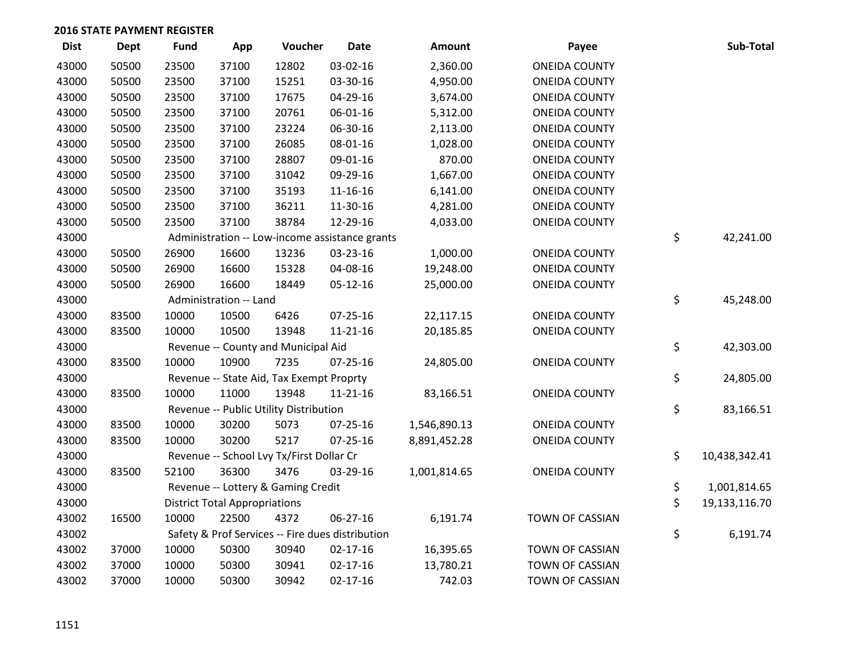| <b>Dist</b> | <b>Dept</b> | <b>Fund</b> | App                                  | Voucher                                          | <b>Date</b>    | Amount       | Payee                | Sub-Total           |
|-------------|-------------|-------------|--------------------------------------|--------------------------------------------------|----------------|--------------|----------------------|---------------------|
| 43000       | 50500       | 23500       | 37100                                | 12802                                            | 03-02-16       | 2,360.00     | <b>ONEIDA COUNTY</b> |                     |
| 43000       | 50500       | 23500       | 37100                                | 15251                                            | 03-30-16       | 4,950.00     | <b>ONEIDA COUNTY</b> |                     |
| 43000       | 50500       | 23500       | 37100                                | 17675                                            | 04-29-16       | 3,674.00     | <b>ONEIDA COUNTY</b> |                     |
| 43000       | 50500       | 23500       | 37100                                | 20761                                            | 06-01-16       | 5,312.00     | <b>ONEIDA COUNTY</b> |                     |
| 43000       | 50500       | 23500       | 37100                                | 23224                                            | 06-30-16       | 2,113.00     | <b>ONEIDA COUNTY</b> |                     |
| 43000       | 50500       | 23500       | 37100                                | 26085                                            | 08-01-16       | 1,028.00     | <b>ONEIDA COUNTY</b> |                     |
| 43000       | 50500       | 23500       | 37100                                | 28807                                            | 09-01-16       | 870.00       | ONEIDA COUNTY        |                     |
| 43000       | 50500       | 23500       | 37100                                | 31042                                            | 09-29-16       | 1,667.00     | <b>ONEIDA COUNTY</b> |                     |
| 43000       | 50500       | 23500       | 37100                                | 35193                                            | 11-16-16       | 6,141.00     | <b>ONEIDA COUNTY</b> |                     |
| 43000       | 50500       | 23500       | 37100                                | 36211                                            | 11-30-16       | 4,281.00     | <b>ONEIDA COUNTY</b> |                     |
| 43000       | 50500       | 23500       | 37100                                | 38784                                            | 12-29-16       | 4,033.00     | <b>ONEIDA COUNTY</b> |                     |
| 43000       |             |             |                                      | Administration -- Low-income assistance grants   |                |              |                      | \$<br>42,241.00     |
| 43000       | 50500       | 26900       | 16600                                | 13236                                            | 03-23-16       | 1,000.00     | <b>ONEIDA COUNTY</b> |                     |
| 43000       | 50500       | 26900       | 16600                                | 15328                                            | 04-08-16       | 19,248.00    | <b>ONEIDA COUNTY</b> |                     |
| 43000       | 50500       | 26900       | 16600                                | 18449                                            | 05-12-16       | 25,000.00    | <b>ONEIDA COUNTY</b> |                     |
| 43000       |             |             | Administration -- Land               |                                                  |                |              |                      | \$<br>45,248.00     |
| 43000       | 83500       | 10000       | 10500                                | 6426                                             | 07-25-16       | 22,117.15    | <b>ONEIDA COUNTY</b> |                     |
| 43000       | 83500       | 10000       | 10500                                | 13948                                            | $11 - 21 - 16$ | 20,185.85    | <b>ONEIDA COUNTY</b> |                     |
| 43000       |             |             |                                      | Revenue -- County and Municipal Aid              |                |              |                      | \$<br>42,303.00     |
| 43000       | 83500       | 10000       | 10900                                | 7235                                             | 07-25-16       | 24,805.00    | <b>ONEIDA COUNTY</b> |                     |
| 43000       |             |             |                                      | Revenue -- State Aid, Tax Exempt Proprty         |                |              |                      | \$<br>24,805.00     |
| 43000       | 83500       | 10000       | 11000                                | 13948                                            | $11 - 21 - 16$ | 83,166.51    | <b>ONEIDA COUNTY</b> |                     |
| 43000       |             |             |                                      | Revenue -- Public Utility Distribution           |                |              |                      | \$<br>83,166.51     |
| 43000       | 83500       | 10000       | 30200                                | 5073                                             | $07 - 25 - 16$ | 1,546,890.13 | <b>ONEIDA COUNTY</b> |                     |
| 43000       | 83500       | 10000       | 30200                                | 5217                                             | $07 - 25 - 16$ | 8,891,452.28 | <b>ONEIDA COUNTY</b> |                     |
| 43000       |             |             |                                      | Revenue -- School Lvy Tx/First Dollar Cr         |                |              |                      | \$<br>10,438,342.41 |
| 43000       | 83500       | 52100       | 36300                                | 3476                                             | 03-29-16       | 1,001,814.65 | <b>ONEIDA COUNTY</b> |                     |
| 43000       |             |             |                                      | Revenue -- Lottery & Gaming Credit               |                |              |                      | \$<br>1,001,814.65  |
| 43000       |             |             | <b>District Total Appropriations</b> |                                                  |                |              |                      | \$<br>19,133,116.70 |
| 43002       | 16500       | 10000       | 22500                                | 4372                                             | 06-27-16       | 6,191.74     | TOWN OF CASSIAN      |                     |
| 43002       |             |             |                                      | Safety & Prof Services -- Fire dues distribution |                |              |                      | \$<br>6,191.74      |
| 43002       | 37000       | 10000       | 50300                                | 30940                                            | $02 - 17 - 16$ | 16,395.65    | TOWN OF CASSIAN      |                     |
| 43002       | 37000       | 10000       | 50300                                | 30941                                            | $02 - 17 - 16$ | 13,780.21    | TOWN OF CASSIAN      |                     |
| 43002       | 37000       | 10000       | 50300                                | 30942                                            | 02-17-16       | 742.03       | TOWN OF CASSIAN      |                     |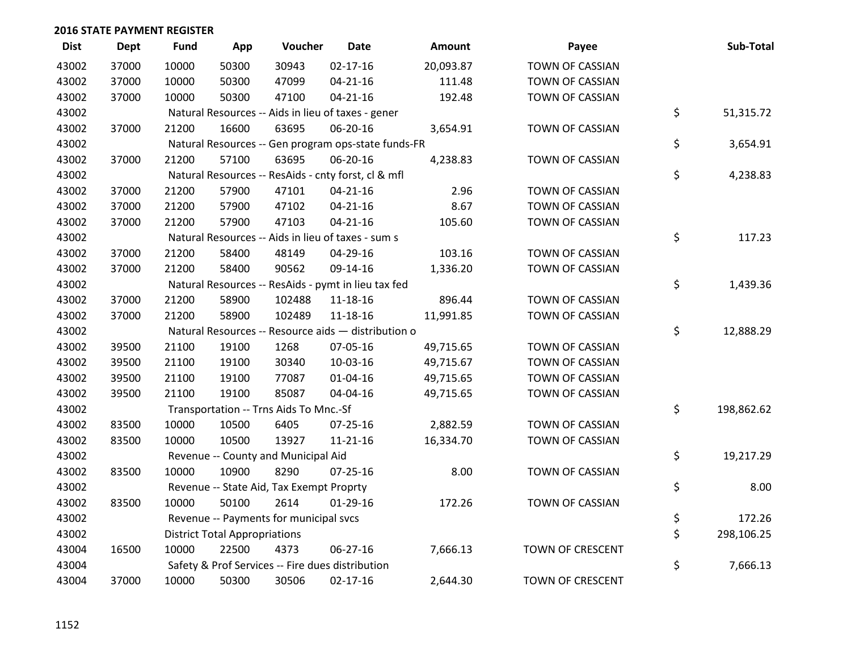| <b>Dist</b> | <b>Dept</b> | <b>Fund</b> | App                                  | Voucher                                  | <b>Date</b>                                         | <b>Amount</b> | Payee                  | Sub-Total        |
|-------------|-------------|-------------|--------------------------------------|------------------------------------------|-----------------------------------------------------|---------------|------------------------|------------------|
| 43002       | 37000       | 10000       | 50300                                | 30943                                    | $02 - 17 - 16$                                      | 20,093.87     | <b>TOWN OF CASSIAN</b> |                  |
| 43002       | 37000       | 10000       | 50300                                | 47099                                    | $04 - 21 - 16$                                      | 111.48        | TOWN OF CASSIAN        |                  |
| 43002       | 37000       | 10000       | 50300                                | 47100                                    | $04 - 21 - 16$                                      | 192.48        | <b>TOWN OF CASSIAN</b> |                  |
| 43002       |             |             |                                      |                                          | Natural Resources -- Aids in lieu of taxes - gener  |               |                        | \$<br>51,315.72  |
| 43002       | 37000       | 21200       | 16600                                | 63695                                    | 06-20-16                                            | 3,654.91      | TOWN OF CASSIAN        |                  |
| 43002       |             |             |                                      |                                          | Natural Resources -- Gen program ops-state funds-FR |               |                        | \$<br>3,654.91   |
| 43002       | 37000       | 21200       | 57100                                | 63695                                    | 06-20-16                                            | 4,238.83      | TOWN OF CASSIAN        |                  |
| 43002       |             |             |                                      |                                          | Natural Resources -- ResAids - cnty forst, cl & mfl |               |                        | \$<br>4,238.83   |
| 43002       | 37000       | 21200       | 57900                                | 47101                                    | $04 - 21 - 16$                                      | 2.96          | TOWN OF CASSIAN        |                  |
| 43002       | 37000       | 21200       | 57900                                | 47102                                    | $04 - 21 - 16$                                      | 8.67          | TOWN OF CASSIAN        |                  |
| 43002       | 37000       | 21200       | 57900                                | 47103                                    | $04 - 21 - 16$                                      | 105.60        | <b>TOWN OF CASSIAN</b> |                  |
| 43002       |             |             |                                      |                                          | Natural Resources -- Aids in lieu of taxes - sum s  |               |                        | \$<br>117.23     |
| 43002       | 37000       | 21200       | 58400                                | 48149                                    | 04-29-16                                            | 103.16        | <b>TOWN OF CASSIAN</b> |                  |
| 43002       | 37000       | 21200       | 58400                                | 90562                                    | 09-14-16                                            | 1,336.20      | TOWN OF CASSIAN        |                  |
| 43002       |             |             |                                      |                                          | Natural Resources -- ResAids - pymt in lieu tax fed |               |                        | \$<br>1,439.36   |
| 43002       | 37000       | 21200       | 58900                                | 102488                                   | 11-18-16                                            | 896.44        | TOWN OF CASSIAN        |                  |
| 43002       | 37000       | 21200       | 58900                                | 102489                                   | 11-18-16                                            | 11,991.85     | <b>TOWN OF CASSIAN</b> |                  |
| 43002       |             |             |                                      |                                          | Natural Resources -- Resource aids - distribution o |               |                        | \$<br>12,888.29  |
| 43002       | 39500       | 21100       | 19100                                | 1268                                     | 07-05-16                                            | 49,715.65     | TOWN OF CASSIAN        |                  |
| 43002       | 39500       | 21100       | 19100                                | 30340                                    | 10-03-16                                            | 49,715.67     | TOWN OF CASSIAN        |                  |
| 43002       | 39500       | 21100       | 19100                                | 77087                                    | $01 - 04 - 16$                                      | 49,715.65     | TOWN OF CASSIAN        |                  |
| 43002       | 39500       | 21100       | 19100                                | 85087                                    | 04-04-16                                            | 49,715.65     | TOWN OF CASSIAN        |                  |
| 43002       |             |             |                                      | Transportation -- Trns Aids To Mnc.-Sf   |                                                     |               |                        | \$<br>198,862.62 |
| 43002       | 83500       | 10000       | 10500                                | 6405                                     | 07-25-16                                            | 2,882.59      | TOWN OF CASSIAN        |                  |
| 43002       | 83500       | 10000       | 10500                                | 13927                                    | 11-21-16                                            | 16,334.70     | TOWN OF CASSIAN        |                  |
| 43002       |             |             |                                      | Revenue -- County and Municipal Aid      |                                                     |               |                        | \$<br>19,217.29  |
| 43002       | 83500       | 10000       | 10900                                | 8290                                     | $07 - 25 - 16$                                      | 8.00          | TOWN OF CASSIAN        |                  |
| 43002       |             |             |                                      | Revenue -- State Aid, Tax Exempt Proprty |                                                     |               |                        | \$<br>8.00       |
| 43002       | 83500       | 10000       | 50100                                | 2614                                     | $01-29-16$                                          | 172.26        | TOWN OF CASSIAN        |                  |
| 43002       |             |             |                                      | Revenue -- Payments for municipal svcs   |                                                     |               |                        | \$<br>172.26     |
| 43002       |             |             | <b>District Total Appropriations</b> |                                          |                                                     |               |                        | \$<br>298,106.25 |
| 43004       | 16500       | 10000       | 22500                                | 4373                                     | 06-27-16                                            | 7,666.13      | TOWN OF CRESCENT       |                  |
| 43004       |             |             |                                      |                                          | Safety & Prof Services -- Fire dues distribution    |               |                        | \$<br>7,666.13   |
| 43004       | 37000       | 10000       | 50300                                | 30506                                    | $02 - 17 - 16$                                      | 2,644.30      | TOWN OF CRESCENT       |                  |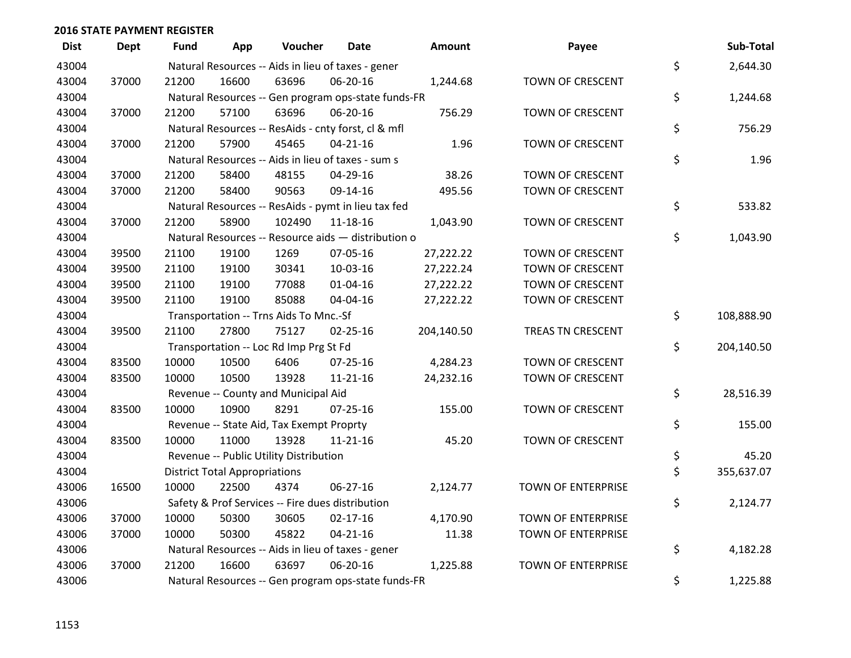| <b>Dist</b> | <b>Dept</b> | <b>Fund</b> | App                                  | Voucher                                          | <b>Date</b>                                         | <b>Amount</b> | Payee                     | Sub-Total        |
|-------------|-------------|-------------|--------------------------------------|--------------------------------------------------|-----------------------------------------------------|---------------|---------------------------|------------------|
| 43004       |             |             |                                      |                                                  | Natural Resources -- Aids in lieu of taxes - gener  |               |                           | \$<br>2,644.30   |
| 43004       | 37000       | 21200       | 16600                                | 63696                                            | 06-20-16                                            | 1,244.68      | TOWN OF CRESCENT          |                  |
| 43004       |             |             |                                      |                                                  | Natural Resources -- Gen program ops-state funds-FR |               |                           | \$<br>1,244.68   |
| 43004       | 37000       | 21200       | 57100                                | 63696                                            | 06-20-16                                            | 756.29        | TOWN OF CRESCENT          |                  |
| 43004       |             |             |                                      |                                                  | Natural Resources -- ResAids - cnty forst, cl & mfl |               |                           | \$<br>756.29     |
| 43004       | 37000       | 21200       | 57900                                | 45465                                            | $04 - 21 - 16$                                      | 1.96          | TOWN OF CRESCENT          |                  |
| 43004       |             |             |                                      |                                                  | Natural Resources -- Aids in lieu of taxes - sum s  |               |                           | \$<br>1.96       |
| 43004       | 37000       | 21200       | 58400                                | 48155                                            | 04-29-16                                            | 38.26         | TOWN OF CRESCENT          |                  |
| 43004       | 37000       | 21200       | 58400                                | 90563                                            | 09-14-16                                            | 495.56        | TOWN OF CRESCENT          |                  |
| 43004       |             |             |                                      |                                                  | Natural Resources -- ResAids - pymt in lieu tax fed |               |                           | \$<br>533.82     |
| 43004       | 37000       | 21200       | 58900                                | 102490                                           | $11 - 18 - 16$                                      | 1,043.90      | TOWN OF CRESCENT          |                  |
| 43004       |             |             |                                      |                                                  | Natural Resources -- Resource aids - distribution o |               |                           | \$<br>1,043.90   |
| 43004       | 39500       | 21100       | 19100                                | 1269                                             | 07-05-16                                            | 27,222.22     | TOWN OF CRESCENT          |                  |
| 43004       | 39500       | 21100       | 19100                                | 30341                                            | 10-03-16                                            | 27,222.24     | TOWN OF CRESCENT          |                  |
| 43004       | 39500       | 21100       | 19100                                | 77088                                            | $01 - 04 - 16$                                      | 27,222.22     | TOWN OF CRESCENT          |                  |
| 43004       | 39500       | 21100       | 19100                                | 85088                                            | 04-04-16                                            | 27,222.22     | TOWN OF CRESCENT          |                  |
| 43004       |             |             |                                      | Transportation -- Trns Aids To Mnc.-Sf           |                                                     |               |                           | \$<br>108,888.90 |
| 43004       | 39500       | 21100       | 27800                                | 75127                                            | $02 - 25 - 16$                                      | 204,140.50    | TREAS TN CRESCENT         |                  |
| 43004       |             |             |                                      | Transportation -- Loc Rd Imp Prg St Fd           |                                                     |               |                           | \$<br>204,140.50 |
| 43004       | 83500       | 10000       | 10500                                | 6406                                             | 07-25-16                                            | 4,284.23      | TOWN OF CRESCENT          |                  |
| 43004       | 83500       | 10000       | 10500                                | 13928                                            | $11 - 21 - 16$                                      | 24,232.16     | TOWN OF CRESCENT          |                  |
| 43004       |             |             |                                      | Revenue -- County and Municipal Aid              |                                                     |               |                           | \$<br>28,516.39  |
| 43004       | 83500       | 10000       | 10900                                | 8291                                             | $07 - 25 - 16$                                      | 155.00        | TOWN OF CRESCENT          |                  |
| 43004       |             |             |                                      | Revenue -- State Aid, Tax Exempt Proprty         |                                                     |               |                           | \$<br>155.00     |
| 43004       | 83500       | 10000       | 11000                                | 13928                                            | $11 - 21 - 16$                                      | 45.20         | TOWN OF CRESCENT          |                  |
| 43004       |             |             |                                      | Revenue -- Public Utility Distribution           |                                                     |               |                           | \$<br>45.20      |
| 43004       |             |             | <b>District Total Appropriations</b> |                                                  |                                                     |               |                           | \$<br>355,637.07 |
| 43006       | 16500       | 10000       | 22500                                | 4374                                             | 06-27-16                                            | 2,124.77      | TOWN OF ENTERPRISE        |                  |
| 43006       |             |             |                                      | Safety & Prof Services -- Fire dues distribution |                                                     |               |                           | \$<br>2,124.77   |
| 43006       | 37000       | 10000       | 50300                                | 30605                                            | $02 - 17 - 16$                                      | 4,170.90      | TOWN OF ENTERPRISE        |                  |
| 43006       | 37000       | 10000       | 50300                                | 45822                                            | $04 - 21 - 16$                                      | 11.38         | TOWN OF ENTERPRISE        |                  |
| 43006       |             |             |                                      |                                                  | Natural Resources -- Aids in lieu of taxes - gener  |               |                           | \$<br>4,182.28   |
| 43006       | 37000       | 21200       | 16600                                | 63697                                            | 06-20-16                                            | 1,225.88      | <b>TOWN OF ENTERPRISE</b> |                  |
| 43006       |             |             |                                      |                                                  | Natural Resources -- Gen program ops-state funds-FR |               |                           | \$<br>1,225.88   |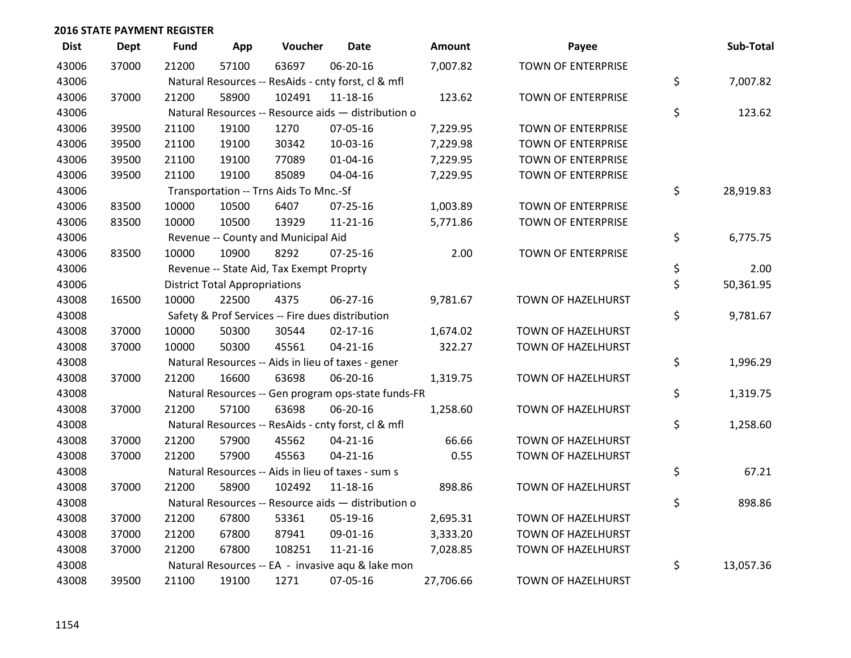| <b>Dist</b> | <b>Dept</b> | <b>Fund</b> | App                                  | Voucher                                  | <b>Date</b>                                         | Amount    | Payee                     | Sub-Total       |
|-------------|-------------|-------------|--------------------------------------|------------------------------------------|-----------------------------------------------------|-----------|---------------------------|-----------------|
| 43006       | 37000       | 21200       | 57100                                | 63697                                    | 06-20-16                                            | 7,007.82  | <b>TOWN OF ENTERPRISE</b> |                 |
| 43006       |             |             |                                      |                                          | Natural Resources -- ResAids - cnty forst, cl & mfl |           |                           | \$<br>7,007.82  |
| 43006       | 37000       | 21200       | 58900                                | 102491                                   | 11-18-16                                            | 123.62    | <b>TOWN OF ENTERPRISE</b> |                 |
| 43006       |             |             |                                      |                                          | Natural Resources -- Resource aids - distribution o |           |                           | \$<br>123.62    |
| 43006       | 39500       | 21100       | 19100                                | 1270                                     | 07-05-16                                            | 7,229.95  | TOWN OF ENTERPRISE        |                 |
| 43006       | 39500       | 21100       | 19100                                | 30342                                    | 10-03-16                                            | 7,229.98  | TOWN OF ENTERPRISE        |                 |
| 43006       | 39500       | 21100       | 19100                                | 77089                                    | 01-04-16                                            | 7,229.95  | TOWN OF ENTERPRISE        |                 |
| 43006       | 39500       | 21100       | 19100                                | 85089                                    | 04-04-16                                            | 7,229.95  | <b>TOWN OF ENTERPRISE</b> |                 |
| 43006       |             |             |                                      | Transportation -- Trns Aids To Mnc.-Sf   |                                                     |           |                           | \$<br>28,919.83 |
| 43006       | 83500       | 10000       | 10500                                | 6407                                     | 07-25-16                                            | 1,003.89  | TOWN OF ENTERPRISE        |                 |
| 43006       | 83500       | 10000       | 10500                                | 13929                                    | $11 - 21 - 16$                                      | 5,771.86  | TOWN OF ENTERPRISE        |                 |
| 43006       |             |             |                                      | Revenue -- County and Municipal Aid      |                                                     |           |                           | \$<br>6,775.75  |
| 43006       | 83500       | 10000       | 10900                                | 8292                                     | $07 - 25 - 16$                                      | 2.00      | <b>TOWN OF ENTERPRISE</b> |                 |
| 43006       |             |             |                                      | Revenue -- State Aid, Tax Exempt Proprty |                                                     |           |                           | \$<br>2.00      |
| 43006       |             |             | <b>District Total Appropriations</b> |                                          |                                                     |           |                           | \$<br>50,361.95 |
| 43008       | 16500       | 10000       | 22500                                | 4375                                     | 06-27-16                                            | 9,781.67  | <b>TOWN OF HAZELHURST</b> |                 |
| 43008       |             |             |                                      |                                          | Safety & Prof Services -- Fire dues distribution    |           |                           | \$<br>9,781.67  |
| 43008       | 37000       | 10000       | 50300                                | 30544                                    | $02 - 17 - 16$                                      | 1,674.02  | TOWN OF HAZELHURST        |                 |
| 43008       | 37000       | 10000       | 50300                                | 45561                                    | $04 - 21 - 16$                                      | 322.27    | TOWN OF HAZELHURST        |                 |
| 43008       |             |             |                                      |                                          | Natural Resources -- Aids in lieu of taxes - gener  |           |                           | \$<br>1,996.29  |
| 43008       | 37000       | 21200       | 16600                                | 63698                                    | 06-20-16                                            | 1,319.75  | TOWN OF HAZELHURST        |                 |
| 43008       |             |             |                                      |                                          | Natural Resources -- Gen program ops-state funds-FR |           |                           | \$<br>1,319.75  |
| 43008       | 37000       | 21200       | 57100                                | 63698                                    | 06-20-16                                            | 1,258.60  | TOWN OF HAZELHURST        |                 |
| 43008       |             |             |                                      |                                          | Natural Resources -- ResAids - cnty forst, cl & mfl |           |                           | \$<br>1,258.60  |
| 43008       | 37000       | 21200       | 57900                                | 45562                                    | $04 - 21 - 16$                                      | 66.66     | TOWN OF HAZELHURST        |                 |
| 43008       | 37000       | 21200       | 57900                                | 45563                                    | $04 - 21 - 16$                                      | 0.55      | <b>TOWN OF HAZELHURST</b> |                 |
| 43008       |             |             |                                      |                                          | Natural Resources -- Aids in lieu of taxes - sum s  |           |                           | \$<br>67.21     |
| 43008       | 37000       | 21200       | 58900                                | 102492                                   | $11 - 18 - 16$                                      | 898.86    | TOWN OF HAZELHURST        |                 |
| 43008       |             |             |                                      |                                          | Natural Resources -- Resource aids - distribution o |           |                           | \$<br>898.86    |
| 43008       | 37000       | 21200       | 67800                                | 53361                                    | 05-19-16                                            | 2,695.31  | TOWN OF HAZELHURST        |                 |
| 43008       | 37000       | 21200       | 67800                                | 87941                                    | 09-01-16                                            | 3,333.20  | TOWN OF HAZELHURST        |                 |
| 43008       | 37000       | 21200       | 67800                                | 108251                                   | $11 - 21 - 16$                                      | 7,028.85  | TOWN OF HAZELHURST        |                 |
| 43008       |             |             |                                      |                                          | Natural Resources -- EA - invasive aqu & lake mon   |           |                           | \$<br>13,057.36 |
| 43008       | 39500       | 21100       | 19100                                | 1271                                     | 07-05-16                                            | 27,706.66 | TOWN OF HAZELHURST        |                 |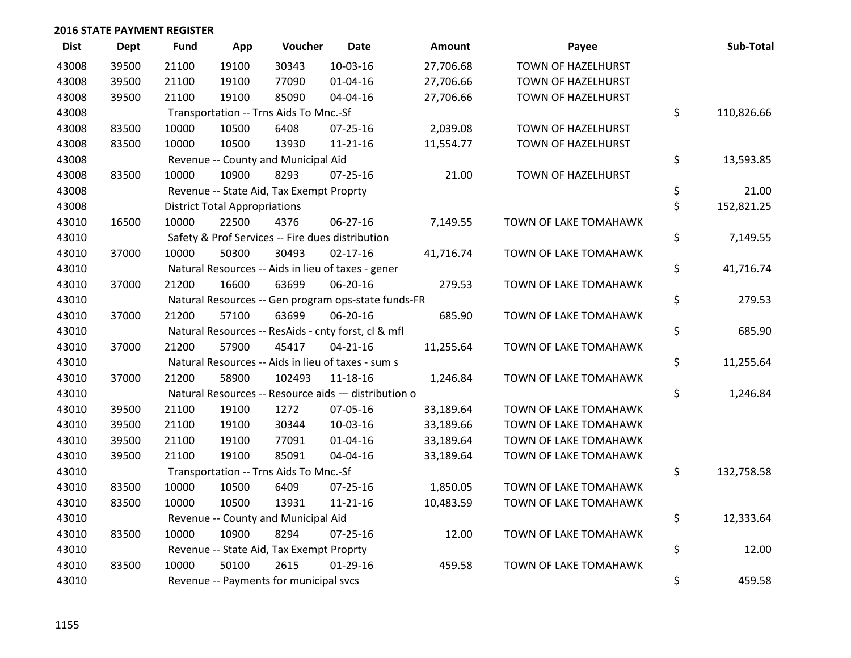| <b>Dist</b> | <b>Dept</b> | <b>Fund</b> | App                                  | Voucher                                  | Date                                                | Amount    | Payee                 | Sub-Total        |
|-------------|-------------|-------------|--------------------------------------|------------------------------------------|-----------------------------------------------------|-----------|-----------------------|------------------|
| 43008       | 39500       | 21100       | 19100                                | 30343                                    | 10-03-16                                            | 27,706.68 | TOWN OF HAZELHURST    |                  |
| 43008       | 39500       | 21100       | 19100                                | 77090                                    | 01-04-16                                            | 27,706.66 | TOWN OF HAZELHURST    |                  |
| 43008       | 39500       | 21100       | 19100                                | 85090                                    | 04-04-16                                            | 27,706.66 | TOWN OF HAZELHURST    |                  |
| 43008       |             |             |                                      | Transportation -- Trns Aids To Mnc.-Sf   |                                                     |           |                       | \$<br>110,826.66 |
| 43008       | 83500       | 10000       | 10500                                | 6408                                     | $07 - 25 - 16$                                      | 2,039.08  | TOWN OF HAZELHURST    |                  |
| 43008       | 83500       | 10000       | 10500                                | 13930                                    | $11 - 21 - 16$                                      | 11,554.77 | TOWN OF HAZELHURST    |                  |
| 43008       |             |             |                                      | Revenue -- County and Municipal Aid      |                                                     |           |                       | \$<br>13,593.85  |
| 43008       | 83500       | 10000       | 10900                                | 8293                                     | $07 - 25 - 16$                                      | 21.00     | TOWN OF HAZELHURST    |                  |
| 43008       |             |             |                                      | Revenue -- State Aid, Tax Exempt Proprty |                                                     |           |                       | \$<br>21.00      |
| 43008       |             |             | <b>District Total Appropriations</b> |                                          |                                                     |           |                       | \$<br>152,821.25 |
| 43010       | 16500       | 10000       | 22500                                | 4376                                     | 06-27-16                                            | 7,149.55  | TOWN OF LAKE TOMAHAWK |                  |
| 43010       |             |             |                                      |                                          | Safety & Prof Services -- Fire dues distribution    |           |                       | \$<br>7,149.55   |
| 43010       | 37000       | 10000       | 50300                                | 30493                                    | $02 - 17 - 16$                                      | 41,716.74 | TOWN OF LAKE TOMAHAWK |                  |
| 43010       |             |             |                                      |                                          | Natural Resources -- Aids in lieu of taxes - gener  |           |                       | \$<br>41,716.74  |
| 43010       | 37000       | 21200       | 16600                                | 63699                                    | 06-20-16                                            | 279.53    | TOWN OF LAKE TOMAHAWK |                  |
| 43010       |             |             |                                      |                                          | Natural Resources -- Gen program ops-state funds-FR |           |                       | \$<br>279.53     |
| 43010       | 37000       | 21200       | 57100                                | 63699                                    | 06-20-16                                            | 685.90    | TOWN OF LAKE TOMAHAWK |                  |
| 43010       |             |             |                                      |                                          | Natural Resources -- ResAids - cnty forst, cl & mfl |           |                       | \$<br>685.90     |
| 43010       | 37000       | 21200       | 57900                                | 45417                                    | $04 - 21 - 16$                                      | 11,255.64 | TOWN OF LAKE TOMAHAWK |                  |
| 43010       |             |             |                                      |                                          | Natural Resources -- Aids in lieu of taxes - sum s  |           |                       | \$<br>11,255.64  |
| 43010       | 37000       | 21200       | 58900                                | 102493                                   | $11 - 18 - 16$                                      | 1,246.84  | TOWN OF LAKE TOMAHAWK |                  |
| 43010       |             |             |                                      |                                          | Natural Resources -- Resource aids - distribution o |           |                       | \$<br>1,246.84   |
| 43010       | 39500       | 21100       | 19100                                | 1272                                     | 07-05-16                                            | 33,189.64 | TOWN OF LAKE TOMAHAWK |                  |
| 43010       | 39500       | 21100       | 19100                                | 30344                                    | 10-03-16                                            | 33,189.66 | TOWN OF LAKE TOMAHAWK |                  |
| 43010       | 39500       | 21100       | 19100                                | 77091                                    | $01 - 04 - 16$                                      | 33,189.64 | TOWN OF LAKE TOMAHAWK |                  |
| 43010       | 39500       | 21100       | 19100                                | 85091                                    | 04-04-16                                            | 33,189.64 | TOWN OF LAKE TOMAHAWK |                  |
| 43010       |             |             |                                      | Transportation -- Trns Aids To Mnc.-Sf   |                                                     |           |                       | \$<br>132,758.58 |
| 43010       | 83500       | 10000       | 10500                                | 6409                                     | $07 - 25 - 16$                                      | 1,850.05  | TOWN OF LAKE TOMAHAWK |                  |
| 43010       | 83500       | 10000       | 10500                                | 13931                                    | $11 - 21 - 16$                                      | 10,483.59 | TOWN OF LAKE TOMAHAWK |                  |
| 43010       |             |             |                                      | Revenue -- County and Municipal Aid      |                                                     |           |                       | \$<br>12,333.64  |
| 43010       | 83500       | 10000       | 10900                                | 8294                                     | 07-25-16                                            | 12.00     | TOWN OF LAKE TOMAHAWK |                  |
| 43010       |             |             |                                      | Revenue -- State Aid, Tax Exempt Proprty |                                                     |           |                       | \$<br>12.00      |
| 43010       | 83500       | 10000       | 50100                                | 2615                                     | $01-29-16$                                          | 459.58    | TOWN OF LAKE TOMAHAWK |                  |
| 43010       |             |             |                                      | Revenue -- Payments for municipal svcs   |                                                     |           |                       | \$<br>459.58     |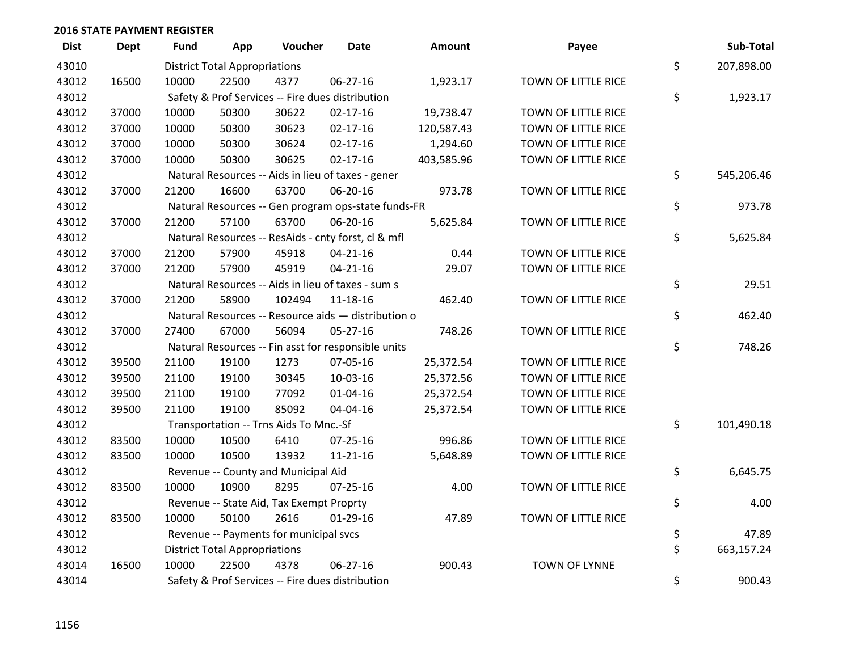| <b>Dist</b> | <b>Dept</b> | <b>Fund</b> | App                                  | Voucher                                  | <b>Date</b>                                         | <b>Amount</b> | Payee                | Sub-Total        |
|-------------|-------------|-------------|--------------------------------------|------------------------------------------|-----------------------------------------------------|---------------|----------------------|------------------|
| 43010       |             |             | <b>District Total Appropriations</b> |                                          |                                                     |               |                      | \$<br>207,898.00 |
| 43012       | 16500       | 10000       | 22500                                | 4377                                     | 06-27-16                                            | 1,923.17      | TOWN OF LITTLE RICE  |                  |
| 43012       |             |             |                                      |                                          | Safety & Prof Services -- Fire dues distribution    |               |                      | \$<br>1,923.17   |
| 43012       | 37000       | 10000       | 50300                                | 30622                                    | $02 - 17 - 16$                                      | 19,738.47     | TOWN OF LITTLE RICE  |                  |
| 43012       | 37000       | 10000       | 50300                                | 30623                                    | $02 - 17 - 16$                                      | 120,587.43    | TOWN OF LITTLE RICE  |                  |
| 43012       | 37000       | 10000       | 50300                                | 30624                                    | $02 - 17 - 16$                                      | 1,294.60      | TOWN OF LITTLE RICE  |                  |
| 43012       | 37000       | 10000       | 50300                                | 30625                                    | $02 - 17 - 16$                                      | 403,585.96    | TOWN OF LITTLE RICE  |                  |
| 43012       |             |             |                                      |                                          | Natural Resources -- Aids in lieu of taxes - gener  |               |                      | \$<br>545,206.46 |
| 43012       | 37000       | 21200       | 16600                                | 63700                                    | 06-20-16                                            | 973.78        | TOWN OF LITTLE RICE  |                  |
| 43012       |             |             |                                      |                                          | Natural Resources -- Gen program ops-state funds-FR |               |                      | \$<br>973.78     |
| 43012       | 37000       | 21200       | 57100                                | 63700                                    | 06-20-16                                            | 5,625.84      | TOWN OF LITTLE RICE  |                  |
| 43012       |             |             |                                      |                                          | Natural Resources -- ResAids - cnty forst, cl & mfl |               |                      | \$<br>5,625.84   |
| 43012       | 37000       | 21200       | 57900                                | 45918                                    | $04 - 21 - 16$                                      | 0.44          | TOWN OF LITTLE RICE  |                  |
| 43012       | 37000       | 21200       | 57900                                | 45919                                    | $04 - 21 - 16$                                      | 29.07         | TOWN OF LITTLE RICE  |                  |
| 43012       |             |             |                                      |                                          | Natural Resources -- Aids in lieu of taxes - sum s  |               |                      | \$<br>29.51      |
| 43012       | 37000       | 21200       | 58900                                | 102494                                   | $11 - 18 - 16$                                      | 462.40        | TOWN OF LITTLE RICE  |                  |
| 43012       |             |             |                                      |                                          | Natural Resources -- Resource aids - distribution o |               |                      | \$<br>462.40     |
| 43012       | 37000       | 27400       | 67000                                | 56094                                    | 05-27-16                                            | 748.26        | TOWN OF LITTLE RICE  |                  |
| 43012       |             |             |                                      |                                          | Natural Resources -- Fin asst for responsible units |               |                      | \$<br>748.26     |
| 43012       | 39500       | 21100       | 19100                                | 1273                                     | 07-05-16                                            | 25,372.54     | TOWN OF LITTLE RICE  |                  |
| 43012       | 39500       | 21100       | 19100                                | 30345                                    | 10-03-16                                            | 25,372.56     | TOWN OF LITTLE RICE  |                  |
| 43012       | 39500       | 21100       | 19100                                | 77092                                    | 01-04-16                                            | 25,372.54     | TOWN OF LITTLE RICE  |                  |
| 43012       | 39500       | 21100       | 19100                                | 85092                                    | 04-04-16                                            | 25,372.54     | TOWN OF LITTLE RICE  |                  |
| 43012       |             |             |                                      | Transportation -- Trns Aids To Mnc.-Sf   |                                                     |               |                      | \$<br>101,490.18 |
| 43012       | 83500       | 10000       | 10500                                | 6410                                     | $07 - 25 - 16$                                      | 996.86        | TOWN OF LITTLE RICE  |                  |
| 43012       | 83500       | 10000       | 10500                                | 13932                                    | $11 - 21 - 16$                                      | 5,648.89      | TOWN OF LITTLE RICE  |                  |
| 43012       |             |             |                                      | Revenue -- County and Municipal Aid      |                                                     |               |                      | \$<br>6,645.75   |
| 43012       | 83500       | 10000       | 10900                                | 8295                                     | 07-25-16                                            | 4.00          | TOWN OF LITTLE RICE  |                  |
| 43012       |             |             |                                      | Revenue -- State Aid, Tax Exempt Proprty |                                                     |               |                      | \$<br>4.00       |
| 43012       | 83500       | 10000       | 50100                                | 2616                                     | $01-29-16$                                          | 47.89         | TOWN OF LITTLE RICE  |                  |
| 43012       |             |             |                                      | Revenue -- Payments for municipal svcs   |                                                     |               |                      | \$<br>47.89      |
| 43012       |             |             | <b>District Total Appropriations</b> |                                          |                                                     |               |                      | \$<br>663,157.24 |
| 43014       | 16500       | 10000       | 22500                                | 4378                                     | 06-27-16                                            | 900.43        | <b>TOWN OF LYNNE</b> |                  |
| 43014       |             |             |                                      |                                          | Safety & Prof Services -- Fire dues distribution    |               |                      | \$<br>900.43     |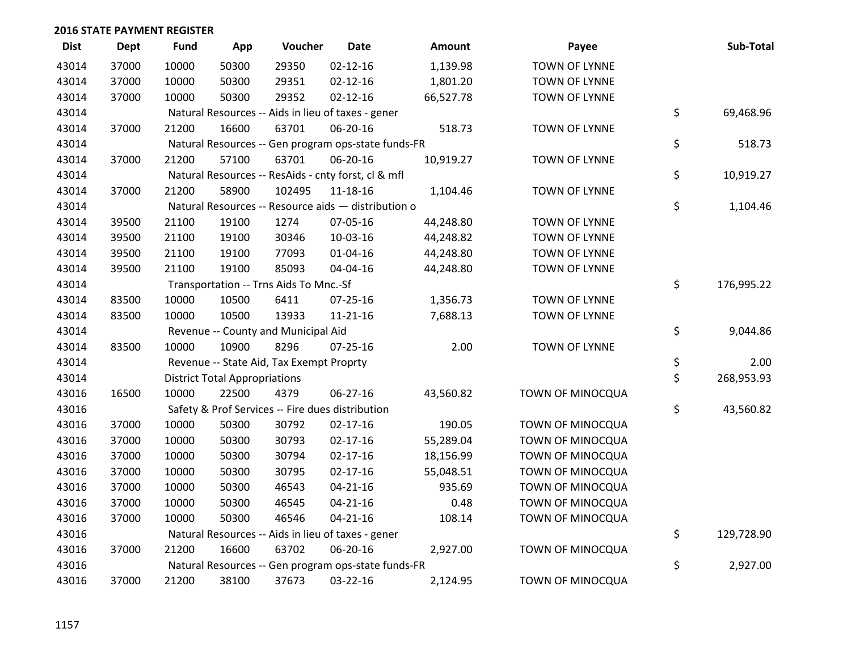| <b>Dist</b> | <b>Dept</b> | <b>Fund</b> | App                                  | Voucher                                             | <b>Date</b>    | Amount    | Payee                   | Sub-Total        |
|-------------|-------------|-------------|--------------------------------------|-----------------------------------------------------|----------------|-----------|-------------------------|------------------|
| 43014       | 37000       | 10000       | 50300                                | 29350                                               | $02 - 12 - 16$ | 1,139.98  | <b>TOWN OF LYNNE</b>    |                  |
| 43014       | 37000       | 10000       | 50300                                | 29351                                               | $02 - 12 - 16$ | 1,801.20  | <b>TOWN OF LYNNE</b>    |                  |
| 43014       | 37000       | 10000       | 50300                                | 29352                                               | $02 - 12 - 16$ | 66,527.78 | <b>TOWN OF LYNNE</b>    |                  |
| 43014       |             |             |                                      | Natural Resources -- Aids in lieu of taxes - gener  |                |           |                         | \$<br>69,468.96  |
| 43014       | 37000       | 21200       | 16600                                | 63701                                               | 06-20-16       | 518.73    | TOWN OF LYNNE           |                  |
| 43014       |             |             |                                      | Natural Resources -- Gen program ops-state funds-FR |                |           |                         | \$<br>518.73     |
| 43014       | 37000       | 21200       | 57100                                | 63701                                               | 06-20-16       | 10,919.27 | TOWN OF LYNNE           |                  |
| 43014       |             |             |                                      | Natural Resources -- ResAids - cnty forst, cl & mfl |                |           |                         | \$<br>10,919.27  |
| 43014       | 37000       | 21200       | 58900                                | 102495                                              | $11 - 18 - 16$ | 1,104.46  | <b>TOWN OF LYNNE</b>    |                  |
| 43014       |             |             |                                      | Natural Resources -- Resource aids - distribution o |                |           |                         | \$<br>1,104.46   |
| 43014       | 39500       | 21100       | 19100                                | 1274                                                | 07-05-16       | 44,248.80 | <b>TOWN OF LYNNE</b>    |                  |
| 43014       | 39500       | 21100       | 19100                                | 30346                                               | 10-03-16       | 44,248.82 | <b>TOWN OF LYNNE</b>    |                  |
| 43014       | 39500       | 21100       | 19100                                | 77093                                               | $01 - 04 - 16$ | 44,248.80 | <b>TOWN OF LYNNE</b>    |                  |
| 43014       | 39500       | 21100       | 19100                                | 85093                                               | 04-04-16       | 44,248.80 | <b>TOWN OF LYNNE</b>    |                  |
| 43014       |             |             |                                      | Transportation -- Trns Aids To Mnc.-Sf              |                |           |                         | \$<br>176,995.22 |
| 43014       | 83500       | 10000       | 10500                                | 6411                                                | $07 - 25 - 16$ | 1,356.73  | <b>TOWN OF LYNNE</b>    |                  |
| 43014       | 83500       | 10000       | 10500                                | 13933                                               | $11 - 21 - 16$ | 7,688.13  | <b>TOWN OF LYNNE</b>    |                  |
| 43014       |             |             |                                      | Revenue -- County and Municipal Aid                 |                |           |                         | \$<br>9,044.86   |
| 43014       | 83500       | 10000       | 10900                                | 8296                                                | 07-25-16       | 2.00      | TOWN OF LYNNE           |                  |
| 43014       |             |             |                                      | Revenue -- State Aid, Tax Exempt Proprty            |                |           |                         | \$<br>2.00       |
| 43014       |             |             | <b>District Total Appropriations</b> |                                                     |                |           |                         | \$<br>268,953.93 |
| 43016       | 16500       | 10000       | 22500                                | 4379                                                | 06-27-16       | 43,560.82 | TOWN OF MINOCQUA        |                  |
| 43016       |             |             |                                      | Safety & Prof Services -- Fire dues distribution    |                |           |                         | \$<br>43,560.82  |
| 43016       | 37000       | 10000       | 50300                                | 30792                                               | $02 - 17 - 16$ | 190.05    | TOWN OF MINOCQUA        |                  |
| 43016       | 37000       | 10000       | 50300                                | 30793                                               | $02 - 17 - 16$ | 55,289.04 | <b>TOWN OF MINOCQUA</b> |                  |
| 43016       | 37000       | 10000       | 50300                                | 30794                                               | $02 - 17 - 16$ | 18,156.99 | TOWN OF MINOCQUA        |                  |
| 43016       | 37000       | 10000       | 50300                                | 30795                                               | $02 - 17 - 16$ | 55,048.51 | TOWN OF MINOCQUA        |                  |
| 43016       | 37000       | 10000       | 50300                                | 46543                                               | $04 - 21 - 16$ | 935.69    | TOWN OF MINOCQUA        |                  |
| 43016       | 37000       | 10000       | 50300                                | 46545                                               | $04 - 21 - 16$ | 0.48      | TOWN OF MINOCQUA        |                  |
| 43016       | 37000       | 10000       | 50300                                | 46546                                               | $04 - 21 - 16$ | 108.14    | TOWN OF MINOCQUA        |                  |
| 43016       |             |             |                                      | Natural Resources -- Aids in lieu of taxes - gener  |                |           |                         | \$<br>129,728.90 |
| 43016       | 37000       | 21200       | 16600                                | 63702                                               | 06-20-16       | 2,927.00  | TOWN OF MINOCQUA        |                  |
| 43016       |             |             |                                      | Natural Resources -- Gen program ops-state funds-FR |                |           |                         | \$<br>2,927.00   |
| 43016       | 37000       | 21200       | 38100                                | 37673                                               | 03-22-16       | 2,124.95  | TOWN OF MINOCQUA        |                  |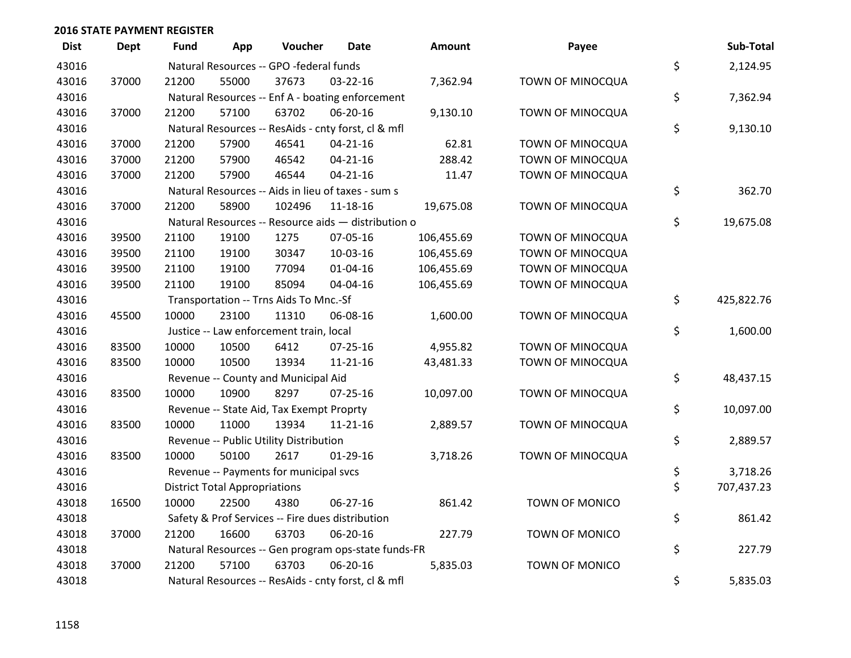| <b>Dist</b> | <b>Dept</b> | Fund  | App                                  | Voucher                                  | Date                                                | Amount     | Payee                 | Sub-Total        |
|-------------|-------------|-------|--------------------------------------|------------------------------------------|-----------------------------------------------------|------------|-----------------------|------------------|
| 43016       |             |       |                                      | Natural Resources -- GPO -federal funds  |                                                     |            |                       | \$<br>2,124.95   |
| 43016       | 37000       | 21200 | 55000                                | 37673                                    | 03-22-16                                            | 7,362.94   | TOWN OF MINOCQUA      |                  |
| 43016       |             |       |                                      |                                          | Natural Resources -- Enf A - boating enforcement    |            |                       | \$<br>7,362.94   |
| 43016       | 37000       | 21200 | 57100                                | 63702                                    | 06-20-16                                            | 9,130.10   | TOWN OF MINOCQUA      |                  |
| 43016       |             |       |                                      |                                          | Natural Resources -- ResAids - cnty forst, cl & mfl |            |                       | \$<br>9,130.10   |
| 43016       | 37000       | 21200 | 57900                                | 46541                                    | $04 - 21 - 16$                                      | 62.81      | TOWN OF MINOCQUA      |                  |
| 43016       | 37000       | 21200 | 57900                                | 46542                                    | $04 - 21 - 16$                                      | 288.42     | TOWN OF MINOCQUA      |                  |
| 43016       | 37000       | 21200 | 57900                                | 46544                                    | $04 - 21 - 16$                                      | 11.47      | TOWN OF MINOCQUA      |                  |
| 43016       |             |       |                                      |                                          | Natural Resources -- Aids in lieu of taxes - sum s  |            |                       | \$<br>362.70     |
| 43016       | 37000       | 21200 | 58900                                | 102496                                   | $11 - 18 - 16$                                      | 19,675.08  | TOWN OF MINOCQUA      |                  |
| 43016       |             |       |                                      |                                          | Natural Resources -- Resource aids - distribution o |            |                       | \$<br>19,675.08  |
| 43016       | 39500       | 21100 | 19100                                | 1275                                     | 07-05-16                                            | 106,455.69 | TOWN OF MINOCQUA      |                  |
| 43016       | 39500       | 21100 | 19100                                | 30347                                    | 10-03-16                                            | 106,455.69 | TOWN OF MINOCQUA      |                  |
| 43016       | 39500       | 21100 | 19100                                | 77094                                    | $01 - 04 - 16$                                      | 106,455.69 | TOWN OF MINOCQUA      |                  |
| 43016       | 39500       | 21100 | 19100                                | 85094                                    | 04-04-16                                            | 106,455.69 | TOWN OF MINOCQUA      |                  |
| 43016       |             |       |                                      | Transportation -- Trns Aids To Mnc.-Sf   |                                                     |            |                       | \$<br>425,822.76 |
| 43016       | 45500       | 10000 | 23100                                | 11310                                    | 06-08-16                                            | 1,600.00   | TOWN OF MINOCQUA      |                  |
| 43016       |             |       |                                      | Justice -- Law enforcement train, local  |                                                     |            |                       | \$<br>1,600.00   |
| 43016       | 83500       | 10000 | 10500                                | 6412                                     | $07 - 25 - 16$                                      | 4,955.82   | TOWN OF MINOCQUA      |                  |
| 43016       | 83500       | 10000 | 10500                                | 13934                                    | $11 - 21 - 16$                                      | 43,481.33  | TOWN OF MINOCQUA      |                  |
| 43016       |             |       |                                      | Revenue -- County and Municipal Aid      |                                                     |            |                       | \$<br>48,437.15  |
| 43016       | 83500       | 10000 | 10900                                | 8297                                     | 07-25-16                                            | 10,097.00  | TOWN OF MINOCQUA      |                  |
| 43016       |             |       |                                      | Revenue -- State Aid, Tax Exempt Proprty |                                                     |            |                       | \$<br>10,097.00  |
| 43016       | 83500       | 10000 | 11000                                | 13934                                    | $11 - 21 - 16$                                      | 2,889.57   | TOWN OF MINOCQUA      |                  |
| 43016       |             |       |                                      | Revenue -- Public Utility Distribution   |                                                     |            |                       | \$<br>2,889.57   |
| 43016       | 83500       | 10000 | 50100                                | 2617                                     | $01-29-16$                                          | 3,718.26   | TOWN OF MINOCQUA      |                  |
| 43016       |             |       |                                      | Revenue -- Payments for municipal svcs   |                                                     |            |                       | \$<br>3,718.26   |
| 43016       |             |       | <b>District Total Appropriations</b> |                                          |                                                     |            |                       | \$<br>707,437.23 |
| 43018       | 16500       | 10000 | 22500                                | 4380                                     | 06-27-16                                            | 861.42     | <b>TOWN OF MONICO</b> |                  |
| 43018       |             |       |                                      |                                          | Safety & Prof Services -- Fire dues distribution    |            |                       | \$<br>861.42     |
| 43018       | 37000       | 21200 | 16600                                | 63703                                    | 06-20-16                                            | 227.79     | <b>TOWN OF MONICO</b> |                  |
| 43018       |             |       |                                      |                                          | Natural Resources -- Gen program ops-state funds-FR |            |                       | \$<br>227.79     |
| 43018       | 37000       | 21200 | 57100                                | 63703                                    | 06-20-16                                            | 5,835.03   | <b>TOWN OF MONICO</b> |                  |
| 43018       |             |       |                                      |                                          | Natural Resources -- ResAids - cnty forst, cl & mfl |            |                       | \$<br>5,835.03   |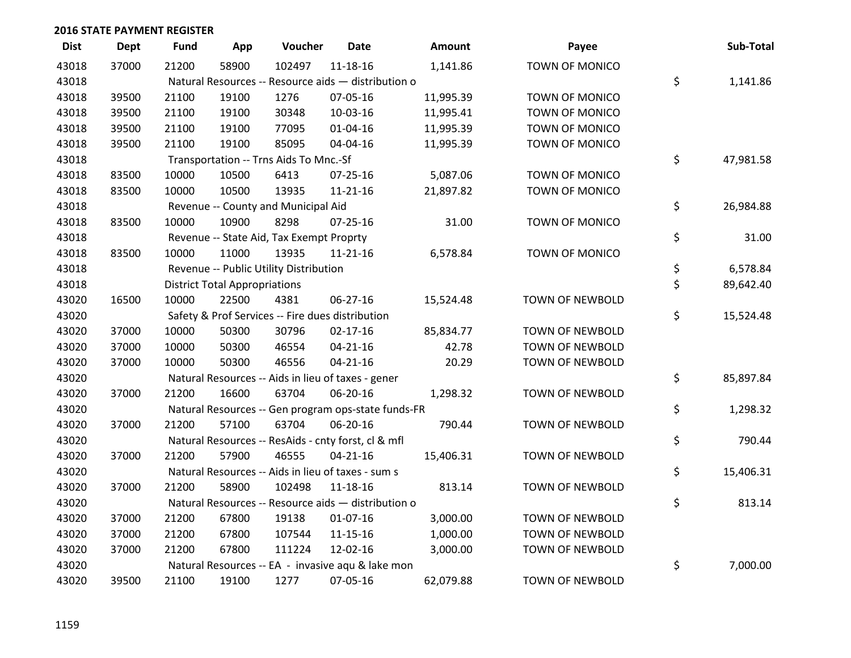| <b>Dist</b> | <b>Dept</b> | <b>Fund</b> | App                                  | Voucher                                  | <b>Date</b>                                         | Amount    | Payee                  | Sub-Total       |
|-------------|-------------|-------------|--------------------------------------|------------------------------------------|-----------------------------------------------------|-----------|------------------------|-----------------|
| 43018       | 37000       | 21200       | 58900                                | 102497                                   | $11 - 18 - 16$                                      | 1,141.86  | <b>TOWN OF MONICO</b>  |                 |
| 43018       |             |             |                                      |                                          | Natural Resources -- Resource aids - distribution o |           |                        | \$<br>1,141.86  |
| 43018       | 39500       | 21100       | 19100                                | 1276                                     | 07-05-16                                            | 11,995.39 | TOWN OF MONICO         |                 |
| 43018       | 39500       | 21100       | 19100                                | 30348                                    | 10-03-16                                            | 11,995.41 | TOWN OF MONICO         |                 |
| 43018       | 39500       | 21100       | 19100                                | 77095                                    | $01 - 04 - 16$                                      | 11,995.39 | <b>TOWN OF MONICO</b>  |                 |
| 43018       | 39500       | 21100       | 19100                                | 85095                                    | 04-04-16                                            | 11,995.39 | TOWN OF MONICO         |                 |
| 43018       |             |             |                                      | Transportation -- Trns Aids To Mnc.-Sf   |                                                     |           |                        | \$<br>47,981.58 |
| 43018       | 83500       | 10000       | 10500                                | 6413                                     | $07 - 25 - 16$                                      | 5,087.06  | <b>TOWN OF MONICO</b>  |                 |
| 43018       | 83500       | 10000       | 10500                                | 13935                                    | 11-21-16                                            | 21,897.82 | TOWN OF MONICO         |                 |
| 43018       |             |             |                                      | Revenue -- County and Municipal Aid      |                                                     |           |                        | \$<br>26,984.88 |
| 43018       | 83500       | 10000       | 10900                                | 8298                                     | $07 - 25 - 16$                                      | 31.00     | TOWN OF MONICO         |                 |
| 43018       |             |             |                                      | Revenue -- State Aid, Tax Exempt Proprty |                                                     |           |                        | \$<br>31.00     |
| 43018       | 83500       | 10000       | 11000                                | 13935                                    | 11-21-16                                            | 6,578.84  | TOWN OF MONICO         |                 |
| 43018       |             |             |                                      | Revenue -- Public Utility Distribution   |                                                     |           |                        | \$<br>6,578.84  |
| 43018       |             |             | <b>District Total Appropriations</b> |                                          |                                                     |           |                        | \$<br>89,642.40 |
| 43020       | 16500       | 10000       | 22500                                | 4381                                     | 06-27-16                                            | 15,524.48 | <b>TOWN OF NEWBOLD</b> |                 |
| 43020       |             |             |                                      |                                          | Safety & Prof Services -- Fire dues distribution    |           |                        | \$<br>15,524.48 |
| 43020       | 37000       | 10000       | 50300                                | 30796                                    | $02 - 17 - 16$                                      | 85,834.77 | TOWN OF NEWBOLD        |                 |
| 43020       | 37000       | 10000       | 50300                                | 46554                                    | $04 - 21 - 16$                                      | 42.78     | TOWN OF NEWBOLD        |                 |
| 43020       | 37000       | 10000       | 50300                                | 46556                                    | $04 - 21 - 16$                                      | 20.29     | <b>TOWN OF NEWBOLD</b> |                 |
| 43020       |             |             |                                      |                                          | Natural Resources -- Aids in lieu of taxes - gener  |           |                        | \$<br>85,897.84 |
| 43020       | 37000       | 21200       | 16600                                | 63704                                    | 06-20-16                                            | 1,298.32  | TOWN OF NEWBOLD        |                 |
| 43020       |             |             |                                      |                                          | Natural Resources -- Gen program ops-state funds-FR |           |                        | \$<br>1,298.32  |
| 43020       | 37000       | 21200       | 57100                                | 63704                                    | 06-20-16                                            | 790.44    | TOWN OF NEWBOLD        |                 |
| 43020       |             |             |                                      |                                          | Natural Resources -- ResAids - cnty forst, cl & mfl |           |                        | \$<br>790.44    |
| 43020       | 37000       | 21200       | 57900                                | 46555                                    | $04 - 21 - 16$                                      | 15,406.31 | TOWN OF NEWBOLD        |                 |
| 43020       |             |             |                                      |                                          | Natural Resources -- Aids in lieu of taxes - sum s  |           |                        | \$<br>15,406.31 |
| 43020       | 37000       | 21200       | 58900                                | 102498                                   | 11-18-16                                            | 813.14    | TOWN OF NEWBOLD        |                 |
| 43020       |             |             |                                      |                                          | Natural Resources -- Resource aids - distribution o |           |                        | \$<br>813.14    |
| 43020       | 37000       | 21200       | 67800                                | 19138                                    | $01-07-16$                                          | 3,000.00  | TOWN OF NEWBOLD        |                 |
| 43020       | 37000       | 21200       | 67800                                | 107544                                   | 11-15-16                                            | 1,000.00  | <b>TOWN OF NEWBOLD</b> |                 |
| 43020       | 37000       | 21200       | 67800                                | 111224                                   | 12-02-16                                            | 3,000.00  | TOWN OF NEWBOLD        |                 |
| 43020       |             |             |                                      |                                          | Natural Resources -- EA - invasive aqu & lake mon   |           |                        | \$<br>7,000.00  |
| 43020       | 39500       | 21100       | 19100                                | 1277                                     | 07-05-16                                            | 62,079.88 | <b>TOWN OF NEWBOLD</b> |                 |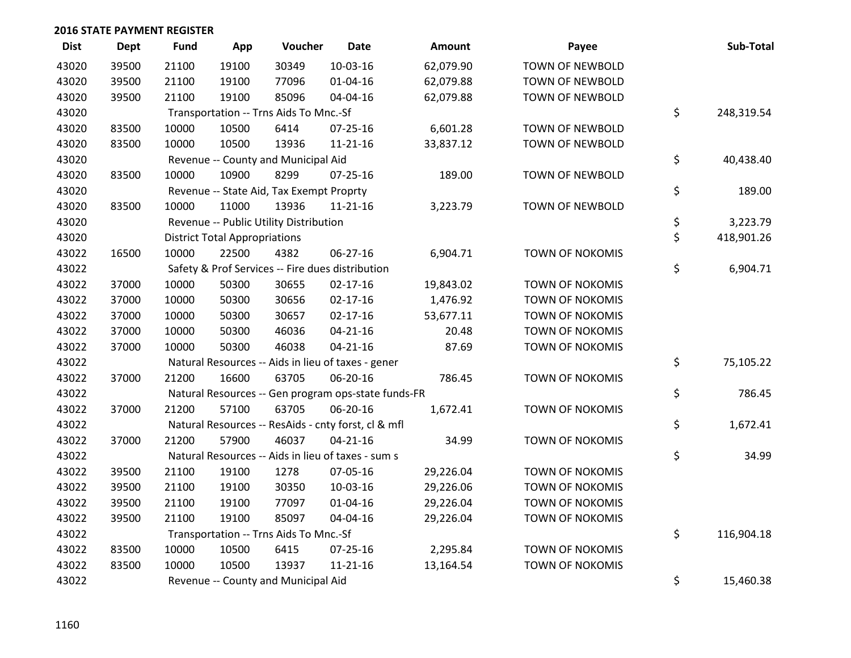| <b>Dist</b> | <b>Dept</b> | <b>Fund</b> | App                                  | Voucher                                  | <b>Date</b>                                         | <b>Amount</b> | Payee                  | Sub-Total        |
|-------------|-------------|-------------|--------------------------------------|------------------------------------------|-----------------------------------------------------|---------------|------------------------|------------------|
| 43020       | 39500       | 21100       | 19100                                | 30349                                    | 10-03-16                                            | 62,079.90     | <b>TOWN OF NEWBOLD</b> |                  |
| 43020       | 39500       | 21100       | 19100                                | 77096                                    | 01-04-16                                            | 62,079.88     | TOWN OF NEWBOLD        |                  |
| 43020       | 39500       | 21100       | 19100                                | 85096                                    | 04-04-16                                            | 62,079.88     | TOWN OF NEWBOLD        |                  |
| 43020       |             |             |                                      | Transportation -- Trns Aids To Mnc.-Sf   |                                                     |               |                        | \$<br>248,319.54 |
| 43020       | 83500       | 10000       | 10500                                | 6414                                     | $07 - 25 - 16$                                      | 6,601.28      | <b>TOWN OF NEWBOLD</b> |                  |
| 43020       | 83500       | 10000       | 10500                                | 13936                                    | $11 - 21 - 16$                                      | 33,837.12     | TOWN OF NEWBOLD        |                  |
| 43020       |             |             |                                      | Revenue -- County and Municipal Aid      |                                                     |               |                        | \$<br>40,438.40  |
| 43020       | 83500       | 10000       | 10900                                | 8299                                     | $07 - 25 - 16$                                      | 189.00        | <b>TOWN OF NEWBOLD</b> |                  |
| 43020       |             |             |                                      | Revenue -- State Aid, Tax Exempt Proprty |                                                     |               |                        | \$<br>189.00     |
| 43020       | 83500       | 10000       | 11000                                | 13936                                    | 11-21-16                                            | 3,223.79      | TOWN OF NEWBOLD        |                  |
| 43020       |             |             |                                      | Revenue -- Public Utility Distribution   |                                                     |               |                        | \$<br>3,223.79   |
| 43020       |             |             | <b>District Total Appropriations</b> |                                          |                                                     |               |                        | \$<br>418,901.26 |
| 43022       | 16500       | 10000       | 22500                                | 4382                                     | $06 - 27 - 16$                                      | 6,904.71      | <b>TOWN OF NOKOMIS</b> |                  |
| 43022       |             |             |                                      |                                          | Safety & Prof Services -- Fire dues distribution    |               |                        | \$<br>6,904.71   |
| 43022       | 37000       | 10000       | 50300                                | 30655                                    | $02 - 17 - 16$                                      | 19,843.02     | TOWN OF NOKOMIS        |                  |
| 43022       | 37000       | 10000       | 50300                                | 30656                                    | $02 - 17 - 16$                                      | 1,476.92      | <b>TOWN OF NOKOMIS</b> |                  |
| 43022       | 37000       | 10000       | 50300                                | 30657                                    | $02 - 17 - 16$                                      | 53,677.11     | TOWN OF NOKOMIS        |                  |
| 43022       | 37000       | 10000       | 50300                                | 46036                                    | $04 - 21 - 16$                                      | 20.48         | TOWN OF NOKOMIS        |                  |
| 43022       | 37000       | 10000       | 50300                                | 46038                                    | $04 - 21 - 16$                                      | 87.69         | <b>TOWN OF NOKOMIS</b> |                  |
| 43022       |             |             |                                      |                                          | Natural Resources -- Aids in lieu of taxes - gener  |               |                        | \$<br>75,105.22  |
| 43022       | 37000       | 21200       | 16600                                | 63705                                    | 06-20-16                                            | 786.45        | TOWN OF NOKOMIS        |                  |
| 43022       |             |             |                                      |                                          | Natural Resources -- Gen program ops-state funds-FR |               |                        | \$<br>786.45     |
| 43022       | 37000       | 21200       | 57100                                | 63705                                    | 06-20-16                                            | 1,672.41      | TOWN OF NOKOMIS        |                  |
| 43022       |             |             |                                      |                                          | Natural Resources -- ResAids - cnty forst, cl & mfl |               |                        | \$<br>1,672.41   |
| 43022       | 37000       | 21200       | 57900                                | 46037                                    | $04 - 21 - 16$                                      | 34.99         | TOWN OF NOKOMIS        |                  |
| 43022       |             |             |                                      |                                          | Natural Resources -- Aids in lieu of taxes - sum s  |               |                        | \$<br>34.99      |
| 43022       | 39500       | 21100       | 19100                                | 1278                                     | 07-05-16                                            | 29,226.04     | TOWN OF NOKOMIS        |                  |
| 43022       | 39500       | 21100       | 19100                                | 30350                                    | 10-03-16                                            | 29,226.06     | <b>TOWN OF NOKOMIS</b> |                  |
| 43022       | 39500       | 21100       | 19100                                | 77097                                    | $01 - 04 - 16$                                      | 29,226.04     | TOWN OF NOKOMIS        |                  |
| 43022       | 39500       | 21100       | 19100                                | 85097                                    | 04-04-16                                            | 29,226.04     | TOWN OF NOKOMIS        |                  |
| 43022       |             |             |                                      | Transportation -- Trns Aids To Mnc.-Sf   |                                                     |               |                        | \$<br>116,904.18 |
| 43022       | 83500       | 10000       | 10500                                | 6415                                     | $07 - 25 - 16$                                      | 2,295.84      | <b>TOWN OF NOKOMIS</b> |                  |
| 43022       | 83500       | 10000       | 10500                                | 13937                                    | $11 - 21 - 16$                                      | 13,164.54     | <b>TOWN OF NOKOMIS</b> |                  |
| 43022       |             |             |                                      | Revenue -- County and Municipal Aid      |                                                     |               |                        | \$<br>15,460.38  |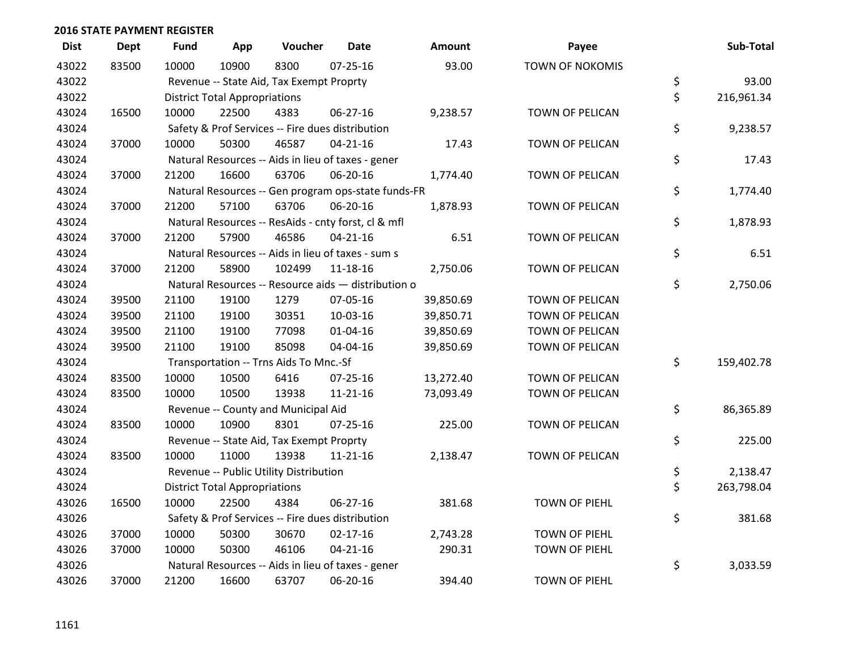| <b>Dist</b> | <b>Dept</b> | <b>Fund</b> | App                                  | Voucher                                          | <b>Date</b>                                         | <b>Amount</b> | Payee                  | Sub-Total        |
|-------------|-------------|-------------|--------------------------------------|--------------------------------------------------|-----------------------------------------------------|---------------|------------------------|------------------|
| 43022       | 83500       | 10000       | 10900                                | 8300                                             | $07 - 25 - 16$                                      | 93.00         | <b>TOWN OF NOKOMIS</b> |                  |
| 43022       |             |             |                                      | Revenue -- State Aid, Tax Exempt Proprty         |                                                     |               |                        | \$<br>93.00      |
| 43022       |             |             | <b>District Total Appropriations</b> |                                                  |                                                     |               |                        | \$<br>216,961.34 |
| 43024       | 16500       | 10000       | 22500                                | 4383                                             | 06-27-16                                            | 9,238.57      | TOWN OF PELICAN        |                  |
| 43024       |             |             |                                      | Safety & Prof Services -- Fire dues distribution |                                                     |               |                        | \$<br>9,238.57   |
| 43024       | 37000       | 10000       | 50300                                | 46587                                            | $04 - 21 - 16$                                      | 17.43         | TOWN OF PELICAN        |                  |
| 43024       |             |             |                                      |                                                  | Natural Resources -- Aids in lieu of taxes - gener  |               |                        | \$<br>17.43      |
| 43024       | 37000       | 21200       | 16600                                | 63706                                            | 06-20-16                                            | 1,774.40      | TOWN OF PELICAN        |                  |
| 43024       |             |             |                                      |                                                  | Natural Resources -- Gen program ops-state funds-FR |               |                        | \$<br>1,774.40   |
| 43024       | 37000       | 21200       | 57100                                | 63706                                            | 06-20-16                                            | 1,878.93      | TOWN OF PELICAN        |                  |
| 43024       |             |             |                                      |                                                  | Natural Resources -- ResAids - cnty forst, cl & mfl |               |                        | \$<br>1,878.93   |
| 43024       | 37000       | 21200       | 57900                                | 46586                                            | $04 - 21 - 16$                                      | 6.51          | TOWN OF PELICAN        |                  |
| 43024       |             |             |                                      |                                                  | Natural Resources -- Aids in lieu of taxes - sum s  |               |                        | \$<br>6.51       |
| 43024       | 37000       | 21200       | 58900                                | 102499                                           | 11-18-16                                            | 2,750.06      | TOWN OF PELICAN        |                  |
| 43024       |             |             |                                      |                                                  | Natural Resources -- Resource aids - distribution o |               |                        | \$<br>2,750.06   |
| 43024       | 39500       | 21100       | 19100                                | 1279                                             | 07-05-16                                            | 39,850.69     | TOWN OF PELICAN        |                  |
| 43024       | 39500       | 21100       | 19100                                | 30351                                            | 10-03-16                                            | 39,850.71     | TOWN OF PELICAN        |                  |
| 43024       | 39500       | 21100       | 19100                                | 77098                                            | $01 - 04 - 16$                                      | 39,850.69     | TOWN OF PELICAN        |                  |
| 43024       | 39500       | 21100       | 19100                                | 85098                                            | 04-04-16                                            | 39,850.69     | TOWN OF PELICAN        |                  |
| 43024       |             |             |                                      | Transportation -- Trns Aids To Mnc.-Sf           |                                                     |               |                        | \$<br>159,402.78 |
| 43024       | 83500       | 10000       | 10500                                | 6416                                             | $07 - 25 - 16$                                      | 13,272.40     | <b>TOWN OF PELICAN</b> |                  |
| 43024       | 83500       | 10000       | 10500                                | 13938                                            | $11 - 21 - 16$                                      | 73,093.49     | <b>TOWN OF PELICAN</b> |                  |
| 43024       |             |             |                                      | Revenue -- County and Municipal Aid              |                                                     |               |                        | \$<br>86,365.89  |
| 43024       | 83500       | 10000       | 10900                                | 8301                                             | $07 - 25 - 16$                                      | 225.00        | TOWN OF PELICAN        |                  |
| 43024       |             |             |                                      | Revenue -- State Aid, Tax Exempt Proprty         |                                                     |               |                        | \$<br>225.00     |
| 43024       | 83500       | 10000       | 11000                                | 13938                                            | $11 - 21 - 16$                                      | 2,138.47      | TOWN OF PELICAN        |                  |
| 43024       |             |             |                                      | Revenue -- Public Utility Distribution           |                                                     |               |                        | \$<br>2,138.47   |
| 43024       |             |             | <b>District Total Appropriations</b> |                                                  |                                                     |               |                        | \$<br>263,798.04 |
| 43026       | 16500       | 10000       | 22500                                | 4384                                             | 06-27-16                                            | 381.68        | <b>TOWN OF PIEHL</b>   |                  |
| 43026       |             |             |                                      | Safety & Prof Services -- Fire dues distribution |                                                     |               |                        | \$<br>381.68     |
| 43026       | 37000       | 10000       | 50300                                | 30670                                            | $02 - 17 - 16$                                      | 2,743.28      | <b>TOWN OF PIEHL</b>   |                  |
| 43026       | 37000       | 10000       | 50300                                | 46106                                            | $04 - 21 - 16$                                      | 290.31        | <b>TOWN OF PIEHL</b>   |                  |
| 43026       |             |             |                                      |                                                  | Natural Resources -- Aids in lieu of taxes - gener  |               |                        | \$<br>3,033.59   |
| 43026       | 37000       | 21200       | 16600                                | 63707                                            | 06-20-16                                            | 394.40        | <b>TOWN OF PIEHL</b>   |                  |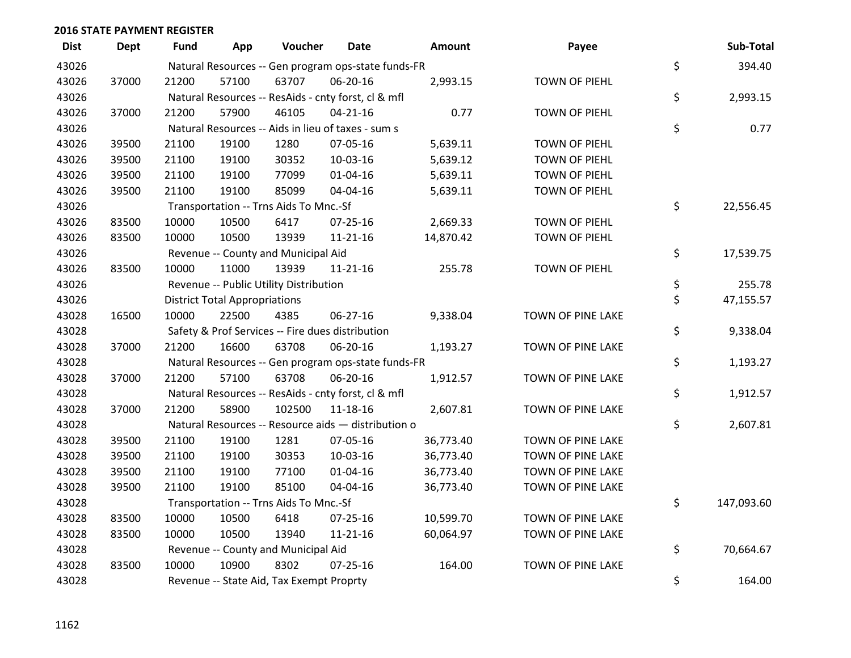| <b>Dist</b> | Dept  | Fund  | App                                  | Voucher                                          | Date                                                | Amount    | Payee                | Sub-Total        |
|-------------|-------|-------|--------------------------------------|--------------------------------------------------|-----------------------------------------------------|-----------|----------------------|------------------|
| 43026       |       |       |                                      |                                                  | Natural Resources -- Gen program ops-state funds-FR |           |                      | \$<br>394.40     |
| 43026       | 37000 | 21200 | 57100                                | 63707                                            | 06-20-16                                            | 2,993.15  | TOWN OF PIEHL        |                  |
| 43026       |       |       |                                      |                                                  | Natural Resources -- ResAids - cnty forst, cl & mfl |           |                      | \$<br>2,993.15   |
| 43026       | 37000 | 21200 | 57900                                | 46105                                            | $04 - 21 - 16$                                      | 0.77      | <b>TOWN OF PIEHL</b> |                  |
| 43026       |       |       |                                      |                                                  | Natural Resources -- Aids in lieu of taxes - sum s  |           |                      | \$<br>0.77       |
| 43026       | 39500 | 21100 | 19100                                | 1280                                             | 07-05-16                                            | 5,639.11  | TOWN OF PIEHL        |                  |
| 43026       | 39500 | 21100 | 19100                                | 30352                                            | 10-03-16                                            | 5,639.12  | TOWN OF PIEHL        |                  |
| 43026       | 39500 | 21100 | 19100                                | 77099                                            | $01 - 04 - 16$                                      | 5,639.11  | <b>TOWN OF PIEHL</b> |                  |
| 43026       | 39500 | 21100 | 19100                                | 85099                                            | 04-04-16                                            | 5,639.11  | TOWN OF PIEHL        |                  |
| 43026       |       |       |                                      | Transportation -- Trns Aids To Mnc.-Sf           |                                                     |           |                      | \$<br>22,556.45  |
| 43026       | 83500 | 10000 | 10500                                | 6417                                             | 07-25-16                                            | 2,669.33  | <b>TOWN OF PIEHL</b> |                  |
| 43026       | 83500 | 10000 | 10500                                | 13939                                            | $11 - 21 - 16$                                      | 14,870.42 | TOWN OF PIEHL        |                  |
| 43026       |       |       |                                      | Revenue -- County and Municipal Aid              |                                                     |           |                      | \$<br>17,539.75  |
| 43026       | 83500 | 10000 | 11000                                | 13939                                            | $11 - 21 - 16$                                      | 255.78    | <b>TOWN OF PIEHL</b> |                  |
| 43026       |       |       |                                      | Revenue -- Public Utility Distribution           |                                                     |           |                      | \$<br>255.78     |
| 43026       |       |       | <b>District Total Appropriations</b> |                                                  |                                                     |           |                      | \$<br>47,155.57  |
| 43028       | 16500 | 10000 | 22500                                | 4385                                             | 06-27-16                                            | 9,338.04  | TOWN OF PINE LAKE    |                  |
| 43028       |       |       |                                      | Safety & Prof Services -- Fire dues distribution |                                                     |           |                      | \$<br>9,338.04   |
| 43028       | 37000 | 21200 | 16600                                | 63708                                            | 06-20-16                                            | 1,193.27  | TOWN OF PINE LAKE    |                  |
| 43028       |       |       |                                      |                                                  | Natural Resources -- Gen program ops-state funds-FR |           |                      | \$<br>1,193.27   |
| 43028       | 37000 | 21200 | 57100                                | 63708                                            | 06-20-16                                            | 1,912.57  | TOWN OF PINE LAKE    |                  |
| 43028       |       |       |                                      |                                                  | Natural Resources -- ResAids - cnty forst, cl & mfl |           |                      | \$<br>1,912.57   |
| 43028       | 37000 | 21200 | 58900                                | 102500                                           | 11-18-16                                            | 2,607.81  | TOWN OF PINE LAKE    |                  |
| 43028       |       |       |                                      |                                                  | Natural Resources -- Resource aids - distribution o |           |                      | \$<br>2,607.81   |
| 43028       | 39500 | 21100 | 19100                                | 1281                                             | 07-05-16                                            | 36,773.40 | TOWN OF PINE LAKE    |                  |
| 43028       | 39500 | 21100 | 19100                                | 30353                                            | 10-03-16                                            | 36,773.40 | TOWN OF PINE LAKE    |                  |
| 43028       | 39500 | 21100 | 19100                                | 77100                                            | $01 - 04 - 16$                                      | 36,773.40 | TOWN OF PINE LAKE    |                  |
| 43028       | 39500 | 21100 | 19100                                | 85100                                            | 04-04-16                                            | 36,773.40 | TOWN OF PINE LAKE    |                  |
| 43028       |       |       |                                      | Transportation -- Trns Aids To Mnc.-Sf           |                                                     |           |                      | \$<br>147,093.60 |
| 43028       | 83500 | 10000 | 10500                                | 6418                                             | 07-25-16                                            | 10,599.70 | TOWN OF PINE LAKE    |                  |
| 43028       | 83500 | 10000 | 10500                                | 13940                                            | $11 - 21 - 16$                                      | 60,064.97 | TOWN OF PINE LAKE    |                  |
| 43028       |       |       |                                      | Revenue -- County and Municipal Aid              |                                                     |           |                      | \$<br>70,664.67  |
| 43028       | 83500 | 10000 | 10900                                | 8302                                             | $07 - 25 - 16$                                      | 164.00    | TOWN OF PINE LAKE    |                  |
| 43028       |       |       |                                      | Revenue -- State Aid, Tax Exempt Proprty         |                                                     |           |                      | \$<br>164.00     |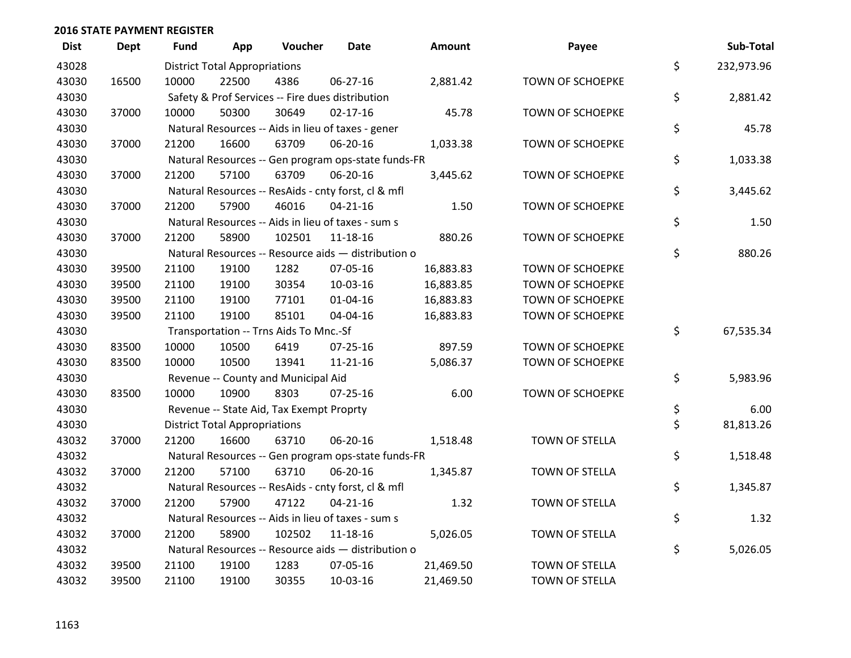| <b>Dist</b> | <b>Dept</b> | <b>Fund</b> | App                                  | Voucher                                             | <b>Date</b>    | <b>Amount</b> | Payee                   | Sub-Total        |
|-------------|-------------|-------------|--------------------------------------|-----------------------------------------------------|----------------|---------------|-------------------------|------------------|
| 43028       |             |             | <b>District Total Appropriations</b> |                                                     |                |               |                         | \$<br>232,973.96 |
| 43030       | 16500       | 10000       | 22500                                | 4386                                                | 06-27-16       | 2,881.42      | TOWN OF SCHOEPKE        |                  |
| 43030       |             |             |                                      | Safety & Prof Services -- Fire dues distribution    |                |               |                         | \$<br>2,881.42   |
| 43030       | 37000       | 10000       | 50300                                | 30649                                               | $02 - 17 - 16$ | 45.78         | <b>TOWN OF SCHOEPKE</b> |                  |
| 43030       |             |             |                                      | Natural Resources -- Aids in lieu of taxes - gener  |                |               |                         | \$<br>45.78      |
| 43030       | 37000       | 21200       | 16600                                | 63709                                               | 06-20-16       | 1,033.38      | <b>TOWN OF SCHOEPKE</b> |                  |
| 43030       |             |             |                                      | Natural Resources -- Gen program ops-state funds-FR |                |               |                         | \$<br>1,033.38   |
| 43030       | 37000       | 21200       | 57100                                | 63709                                               | 06-20-16       | 3,445.62      | TOWN OF SCHOEPKE        |                  |
| 43030       |             |             |                                      | Natural Resources -- ResAids - cnty forst, cl & mfl |                |               |                         | \$<br>3,445.62   |
| 43030       | 37000       | 21200       | 57900                                | 46016                                               | $04 - 21 - 16$ | 1.50          | <b>TOWN OF SCHOEPKE</b> |                  |
| 43030       |             |             |                                      | Natural Resources -- Aids in lieu of taxes - sum s  |                |               |                         | \$<br>1.50       |
| 43030       | 37000       | 21200       | 58900                                | 102501                                              | 11-18-16       | 880.26        | TOWN OF SCHOEPKE        |                  |
| 43030       |             |             |                                      | Natural Resources -- Resource aids - distribution o |                |               |                         | \$<br>880.26     |
| 43030       | 39500       | 21100       | 19100                                | 1282                                                | 07-05-16       | 16,883.83     | <b>TOWN OF SCHOEPKE</b> |                  |
| 43030       | 39500       | 21100       | 19100                                | 30354                                               | 10-03-16       | 16,883.85     | <b>TOWN OF SCHOEPKE</b> |                  |
| 43030       | 39500       | 21100       | 19100                                | 77101                                               | $01 - 04 - 16$ | 16,883.83     | TOWN OF SCHOEPKE        |                  |
| 43030       | 39500       | 21100       | 19100                                | 85101                                               | 04-04-16       | 16,883.83     | TOWN OF SCHOEPKE        |                  |
| 43030       |             |             |                                      | Transportation -- Trns Aids To Mnc.-Sf              |                |               |                         | \$<br>67,535.34  |
| 43030       | 83500       | 10000       | 10500                                | 6419                                                | 07-25-16       | 897.59        | <b>TOWN OF SCHOEPKE</b> |                  |
| 43030       | 83500       | 10000       | 10500                                | 13941                                               | 11-21-16       | 5,086.37      | TOWN OF SCHOEPKE        |                  |
| 43030       |             |             |                                      | Revenue -- County and Municipal Aid                 |                |               |                         | \$<br>5,983.96   |
| 43030       | 83500       | 10000       | 10900                                | 8303                                                | $07 - 25 - 16$ | 6.00          | TOWN OF SCHOEPKE        |                  |
| 43030       |             |             |                                      | Revenue -- State Aid, Tax Exempt Proprty            |                |               |                         | \$<br>6.00       |
| 43030       |             |             | <b>District Total Appropriations</b> |                                                     |                |               |                         | \$<br>81,813.26  |
| 43032       | 37000       | 21200       | 16600                                | 63710                                               | 06-20-16       | 1,518.48      | TOWN OF STELLA          |                  |
| 43032       |             |             |                                      | Natural Resources -- Gen program ops-state funds-FR |                |               |                         | \$<br>1,518.48   |
| 43032       | 37000       | 21200       | 57100                                | 63710                                               | 06-20-16       | 1,345.87      | TOWN OF STELLA          |                  |
| 43032       |             |             |                                      | Natural Resources -- ResAids - cnty forst, cl & mfl |                |               |                         | \$<br>1,345.87   |
| 43032       | 37000       | 21200       | 57900                                | 47122                                               | $04 - 21 - 16$ | 1.32          | TOWN OF STELLA          |                  |
| 43032       |             |             |                                      | Natural Resources -- Aids in lieu of taxes - sum s  |                |               |                         | \$<br>1.32       |
| 43032       | 37000       | 21200       | 58900                                | 102502                                              | 11-18-16       | 5,026.05      | TOWN OF STELLA          |                  |
| 43032       |             |             |                                      | Natural Resources -- Resource aids - distribution o |                |               |                         | \$<br>5,026.05   |
| 43032       | 39500       | 21100       | 19100                                | 1283                                                | 07-05-16       | 21,469.50     | TOWN OF STELLA          |                  |
| 43032       | 39500       | 21100       | 19100                                | 30355                                               | 10-03-16       | 21,469.50     | <b>TOWN OF STELLA</b>   |                  |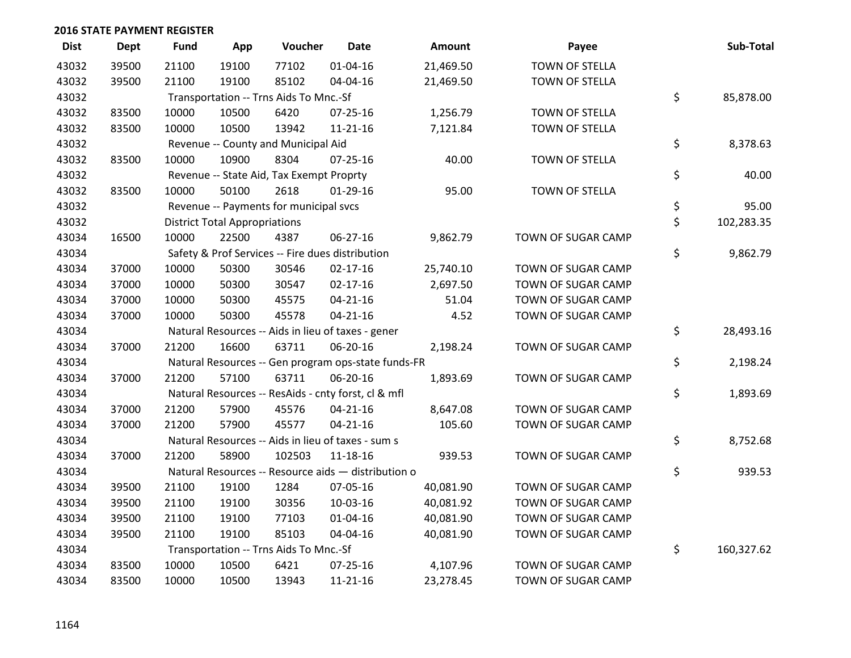| <b>Dist</b> | <b>Dept</b> | <b>Fund</b> | App                                  | Voucher                                  | <b>Date</b>                                         | Amount    | Payee                 | Sub-Total        |
|-------------|-------------|-------------|--------------------------------------|------------------------------------------|-----------------------------------------------------|-----------|-----------------------|------------------|
| 43032       | 39500       | 21100       | 19100                                | 77102                                    | $01 - 04 - 16$                                      | 21,469.50 | <b>TOWN OF STELLA</b> |                  |
| 43032       | 39500       | 21100       | 19100                                | 85102                                    | 04-04-16                                            | 21,469.50 | TOWN OF STELLA        |                  |
| 43032       |             |             |                                      | Transportation -- Trns Aids To Mnc.-Sf   |                                                     |           |                       | \$<br>85,878.00  |
| 43032       | 83500       | 10000       | 10500                                | 6420                                     | 07-25-16                                            | 1,256.79  | TOWN OF STELLA        |                  |
| 43032       | 83500       | 10000       | 10500                                | 13942                                    | $11 - 21 - 16$                                      | 7,121.84  | TOWN OF STELLA        |                  |
| 43032       |             |             |                                      | Revenue -- County and Municipal Aid      |                                                     |           |                       | \$<br>8,378.63   |
| 43032       | 83500       | 10000       | 10900                                | 8304                                     | $07 - 25 - 16$                                      | 40.00     | TOWN OF STELLA        |                  |
| 43032       |             |             |                                      | Revenue -- State Aid, Tax Exempt Proprty |                                                     |           |                       | \$<br>40.00      |
| 43032       | 83500       | 10000       | 50100                                | 2618                                     | $01-29-16$                                          | 95.00     | TOWN OF STELLA        |                  |
| 43032       |             |             |                                      | Revenue -- Payments for municipal svcs   |                                                     |           |                       | \$<br>95.00      |
| 43032       |             |             | <b>District Total Appropriations</b> |                                          |                                                     |           |                       | \$<br>102,283.35 |
| 43034       | 16500       | 10000       | 22500                                | 4387                                     | 06-27-16                                            | 9,862.79  | TOWN OF SUGAR CAMP    |                  |
| 43034       |             |             |                                      |                                          | Safety & Prof Services -- Fire dues distribution    |           |                       | \$<br>9,862.79   |
| 43034       | 37000       | 10000       | 50300                                | 30546                                    | $02 - 17 - 16$                                      | 25,740.10 | TOWN OF SUGAR CAMP    |                  |
| 43034       | 37000       | 10000       | 50300                                | 30547                                    | $02 - 17 - 16$                                      | 2,697.50  | TOWN OF SUGAR CAMP    |                  |
| 43034       | 37000       | 10000       | 50300                                | 45575                                    | $04 - 21 - 16$                                      | 51.04     | TOWN OF SUGAR CAMP    |                  |
| 43034       | 37000       | 10000       | 50300                                | 45578                                    | $04 - 21 - 16$                                      | 4.52      | TOWN OF SUGAR CAMP    |                  |
| 43034       |             |             |                                      |                                          | Natural Resources -- Aids in lieu of taxes - gener  |           |                       | \$<br>28,493.16  |
| 43034       | 37000       | 21200       | 16600                                | 63711                                    | 06-20-16                                            | 2,198.24  | TOWN OF SUGAR CAMP    |                  |
| 43034       |             |             |                                      |                                          | Natural Resources -- Gen program ops-state funds-FR |           |                       | \$<br>2,198.24   |
| 43034       | 37000       | 21200       | 57100                                | 63711                                    | 06-20-16                                            | 1,893.69  | TOWN OF SUGAR CAMP    |                  |
| 43034       |             |             |                                      |                                          | Natural Resources -- ResAids - cnty forst, cl & mfl |           |                       | \$<br>1,893.69   |
| 43034       | 37000       | 21200       | 57900                                | 45576                                    | $04 - 21 - 16$                                      | 8,647.08  | TOWN OF SUGAR CAMP    |                  |
| 43034       | 37000       | 21200       | 57900                                | 45577                                    | $04 - 21 - 16$                                      | 105.60    | TOWN OF SUGAR CAMP    |                  |
| 43034       |             |             |                                      |                                          | Natural Resources -- Aids in lieu of taxes - sum s  |           |                       | \$<br>8,752.68   |
| 43034       | 37000       | 21200       | 58900                                | 102503                                   | $11 - 18 - 16$                                      | 939.53    | TOWN OF SUGAR CAMP    |                  |
| 43034       |             |             |                                      |                                          | Natural Resources -- Resource aids - distribution o |           |                       | \$<br>939.53     |
| 43034       | 39500       | 21100       | 19100                                | 1284                                     | 07-05-16                                            | 40,081.90 | TOWN OF SUGAR CAMP    |                  |
| 43034       | 39500       | 21100       | 19100                                | 30356                                    | 10-03-16                                            | 40,081.92 | TOWN OF SUGAR CAMP    |                  |
| 43034       | 39500       | 21100       | 19100                                | 77103                                    | $01 - 04 - 16$                                      | 40,081.90 | TOWN OF SUGAR CAMP    |                  |
| 43034       | 39500       | 21100       | 19100                                | 85103                                    | 04-04-16                                            | 40,081.90 | TOWN OF SUGAR CAMP    |                  |
| 43034       |             |             |                                      | Transportation -- Trns Aids To Mnc.-Sf   |                                                     |           |                       | \$<br>160,327.62 |
| 43034       | 83500       | 10000       | 10500                                | 6421                                     | 07-25-16                                            | 4,107.96  | TOWN OF SUGAR CAMP    |                  |
| 43034       | 83500       | 10000       | 10500                                | 13943                                    | $11 - 21 - 16$                                      | 23,278.45 | TOWN OF SUGAR CAMP    |                  |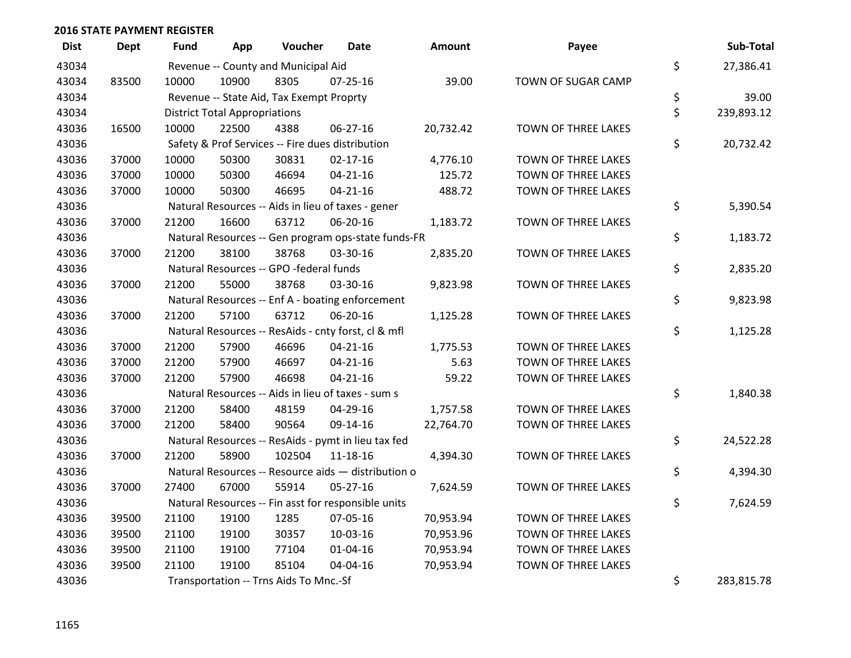| <b>Dist</b> | Dept  | <b>Fund</b> | App                                  | Voucher                                  | <b>Date</b>                                         | Amount    | Payee               | Sub-Total        |
|-------------|-------|-------------|--------------------------------------|------------------------------------------|-----------------------------------------------------|-----------|---------------------|------------------|
| 43034       |       |             |                                      | Revenue -- County and Municipal Aid      |                                                     |           |                     | \$<br>27,386.41  |
| 43034       | 83500 | 10000       | 10900                                | 8305                                     | $07 - 25 - 16$                                      | 39.00     | TOWN OF SUGAR CAMP  |                  |
| 43034       |       |             |                                      | Revenue -- State Aid, Tax Exempt Proprty |                                                     |           |                     | \$<br>39.00      |
| 43034       |       |             | <b>District Total Appropriations</b> |                                          |                                                     |           |                     | \$<br>239,893.12 |
| 43036       | 16500 | 10000       | 22500                                | 4388                                     | 06-27-16                                            | 20,732.42 | TOWN OF THREE LAKES |                  |
| 43036       |       |             |                                      |                                          | Safety & Prof Services -- Fire dues distribution    |           |                     | \$<br>20,732.42  |
| 43036       | 37000 | 10000       | 50300                                | 30831                                    | $02 - 17 - 16$                                      | 4,776.10  | TOWN OF THREE LAKES |                  |
| 43036       | 37000 | 10000       | 50300                                | 46694                                    | $04 - 21 - 16$                                      | 125.72    | TOWN OF THREE LAKES |                  |
| 43036       | 37000 | 10000       | 50300                                | 46695                                    | $04 - 21 - 16$                                      | 488.72    | TOWN OF THREE LAKES |                  |
| 43036       |       |             |                                      |                                          | Natural Resources -- Aids in lieu of taxes - gener  |           |                     | \$<br>5,390.54   |
| 43036       | 37000 | 21200       | 16600                                | 63712                                    | 06-20-16                                            | 1,183.72  | TOWN OF THREE LAKES |                  |
| 43036       |       |             |                                      |                                          | Natural Resources -- Gen program ops-state funds-FR |           |                     | \$<br>1,183.72   |
| 43036       | 37000 | 21200       | 38100                                | 38768                                    | 03-30-16                                            | 2,835.20  | TOWN OF THREE LAKES |                  |
| 43036       |       |             |                                      | Natural Resources -- GPO -federal funds  |                                                     |           |                     | \$<br>2,835.20   |
| 43036       | 37000 | 21200       | 55000                                | 38768                                    | 03-30-16                                            | 9,823.98  | TOWN OF THREE LAKES |                  |
| 43036       |       |             |                                      |                                          | Natural Resources -- Enf A - boating enforcement    |           |                     | \$<br>9,823.98   |
| 43036       | 37000 | 21200       | 57100                                | 63712                                    | 06-20-16                                            | 1,125.28  | TOWN OF THREE LAKES |                  |
| 43036       |       |             |                                      |                                          | Natural Resources -- ResAids - cnty forst, cl & mfl |           |                     | \$<br>1,125.28   |
| 43036       | 37000 | 21200       | 57900                                | 46696                                    | $04 - 21 - 16$                                      | 1,775.53  | TOWN OF THREE LAKES |                  |
| 43036       | 37000 | 21200       | 57900                                | 46697                                    | $04 - 21 - 16$                                      | 5.63      | TOWN OF THREE LAKES |                  |
| 43036       | 37000 | 21200       | 57900                                | 46698                                    | $04 - 21 - 16$                                      | 59.22     | TOWN OF THREE LAKES |                  |
| 43036       |       |             |                                      |                                          | Natural Resources -- Aids in lieu of taxes - sum s  |           |                     | \$<br>1,840.38   |
| 43036       | 37000 | 21200       | 58400                                | 48159                                    | 04-29-16                                            | 1,757.58  | TOWN OF THREE LAKES |                  |
| 43036       | 37000 | 21200       | 58400                                | 90564                                    | 09-14-16                                            | 22,764.70 | TOWN OF THREE LAKES |                  |
| 43036       |       |             |                                      |                                          | Natural Resources -- ResAids - pymt in lieu tax fed |           |                     | \$<br>24,522.28  |
| 43036       | 37000 | 21200       | 58900                                | 102504                                   | 11-18-16                                            | 4,394.30  | TOWN OF THREE LAKES |                  |
| 43036       |       |             |                                      |                                          | Natural Resources -- Resource aids - distribution o |           |                     | \$<br>4,394.30   |
| 43036       | 37000 | 27400       | 67000                                | 55914                                    | $05 - 27 - 16$                                      | 7,624.59  | TOWN OF THREE LAKES |                  |
| 43036       |       |             |                                      |                                          | Natural Resources -- Fin asst for responsible units |           |                     | \$<br>7,624.59   |
| 43036       | 39500 | 21100       | 19100                                | 1285                                     | 07-05-16                                            | 70,953.94 | TOWN OF THREE LAKES |                  |
| 43036       | 39500 | 21100       | 19100                                | 30357                                    | 10-03-16                                            | 70,953.96 | TOWN OF THREE LAKES |                  |
| 43036       | 39500 | 21100       | 19100                                | 77104                                    | $01 - 04 - 16$                                      | 70,953.94 | TOWN OF THREE LAKES |                  |
| 43036       | 39500 | 21100       | 19100                                | 85104                                    | 04-04-16                                            | 70,953.94 | TOWN OF THREE LAKES |                  |
| 43036       |       |             |                                      | Transportation -- Trns Aids To Mnc.-Sf   |                                                     |           |                     | \$<br>283,815.78 |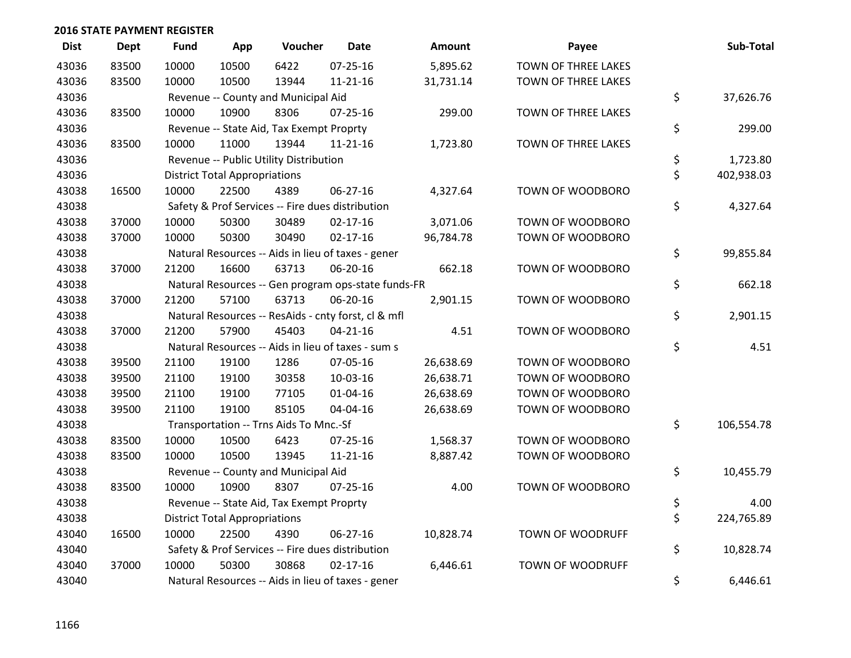| <b>Dist</b> | <b>Dept</b> | <b>Fund</b> | App                                  | Voucher                                          | <b>Date</b>                                         | <b>Amount</b> | Payee                      | Sub-Total        |
|-------------|-------------|-------------|--------------------------------------|--------------------------------------------------|-----------------------------------------------------|---------------|----------------------------|------------------|
| 43036       | 83500       | 10000       | 10500                                | 6422                                             | $07 - 25 - 16$                                      | 5,895.62      | TOWN OF THREE LAKES        |                  |
| 43036       | 83500       | 10000       | 10500                                | 13944                                            | $11 - 21 - 16$                                      | 31,731.14     | TOWN OF THREE LAKES        |                  |
| 43036       |             |             |                                      | Revenue -- County and Municipal Aid              |                                                     |               |                            | \$<br>37,626.76  |
| 43036       | 83500       | 10000       | 10900                                | 8306                                             | 07-25-16                                            | 299.00        | TOWN OF THREE LAKES        |                  |
| 43036       |             |             |                                      | Revenue -- State Aid, Tax Exempt Proprty         |                                                     |               |                            | \$<br>299.00     |
| 43036       | 83500       | 10000       | 11000                                | 13944                                            | $11 - 21 - 16$                                      | 1,723.80      | <b>TOWN OF THREE LAKES</b> |                  |
| 43036       |             |             |                                      | Revenue -- Public Utility Distribution           |                                                     |               |                            | \$<br>1,723.80   |
| 43036       |             |             | <b>District Total Appropriations</b> |                                                  |                                                     |               |                            | \$<br>402,938.03 |
| 43038       | 16500       | 10000       | 22500                                | 4389                                             | 06-27-16                                            | 4,327.64      | TOWN OF WOODBORO           |                  |
| 43038       |             |             |                                      | Safety & Prof Services -- Fire dues distribution |                                                     |               |                            | \$<br>4,327.64   |
| 43038       | 37000       | 10000       | 50300                                | 30489                                            | $02 - 17 - 16$                                      | 3,071.06      | TOWN OF WOODBORO           |                  |
| 43038       | 37000       | 10000       | 50300                                | 30490                                            | $02 - 17 - 16$                                      | 96,784.78     | TOWN OF WOODBORO           |                  |
| 43038       |             |             |                                      |                                                  | Natural Resources -- Aids in lieu of taxes - gener  |               |                            | \$<br>99,855.84  |
| 43038       | 37000       | 21200       | 16600                                | 63713                                            | 06-20-16                                            | 662.18        | TOWN OF WOODBORO           |                  |
| 43038       |             |             |                                      |                                                  | Natural Resources -- Gen program ops-state funds-FR |               |                            | \$<br>662.18     |
| 43038       | 37000       | 21200       | 57100                                | 63713                                            | 06-20-16                                            | 2,901.15      | TOWN OF WOODBORO           |                  |
| 43038       |             |             |                                      |                                                  | Natural Resources -- ResAids - cnty forst, cl & mfl |               |                            | \$<br>2,901.15   |
| 43038       | 37000       | 21200       | 57900                                | 45403                                            | $04 - 21 - 16$                                      | 4.51          | TOWN OF WOODBORO           |                  |
| 43038       |             |             |                                      |                                                  | Natural Resources -- Aids in lieu of taxes - sum s  |               |                            | \$<br>4.51       |
| 43038       | 39500       | 21100       | 19100                                | 1286                                             | 07-05-16                                            | 26,638.69     | TOWN OF WOODBORO           |                  |
| 43038       | 39500       | 21100       | 19100                                | 30358                                            | 10-03-16                                            | 26,638.71     | TOWN OF WOODBORO           |                  |
| 43038       | 39500       | 21100       | 19100                                | 77105                                            | $01 - 04 - 16$                                      | 26,638.69     | TOWN OF WOODBORO           |                  |
| 43038       | 39500       | 21100       | 19100                                | 85105                                            | 04-04-16                                            | 26,638.69     | TOWN OF WOODBORO           |                  |
| 43038       |             |             |                                      | Transportation -- Trns Aids To Mnc.-Sf           |                                                     |               |                            | \$<br>106,554.78 |
| 43038       | 83500       | 10000       | 10500                                | 6423                                             | $07 - 25 - 16$                                      | 1,568.37      | TOWN OF WOODBORO           |                  |
| 43038       | 83500       | 10000       | 10500                                | 13945                                            | $11 - 21 - 16$                                      | 8,887.42      | TOWN OF WOODBORO           |                  |
| 43038       |             |             |                                      | Revenue -- County and Municipal Aid              |                                                     |               |                            | \$<br>10,455.79  |
| 43038       | 83500       | 10000       | 10900                                | 8307                                             | $07 - 25 - 16$                                      | 4.00          | TOWN OF WOODBORO           |                  |
| 43038       |             |             |                                      | Revenue -- State Aid, Tax Exempt Proprty         |                                                     |               |                            | \$<br>4.00       |
| 43038       |             |             | <b>District Total Appropriations</b> |                                                  |                                                     |               |                            | \$<br>224,765.89 |
| 43040       | 16500       | 10000       | 22500                                | 4390                                             | 06-27-16                                            | 10,828.74     | <b>TOWN OF WOODRUFF</b>    |                  |
| 43040       |             |             |                                      | Safety & Prof Services -- Fire dues distribution |                                                     |               |                            | \$<br>10,828.74  |
| 43040       | 37000       | 10000       | 50300                                | 30868                                            | $02 - 17 - 16$                                      | 6,446.61      | <b>TOWN OF WOODRUFF</b>    |                  |
| 43040       |             |             |                                      |                                                  | Natural Resources -- Aids in lieu of taxes - gener  |               |                            | \$<br>6,446.61   |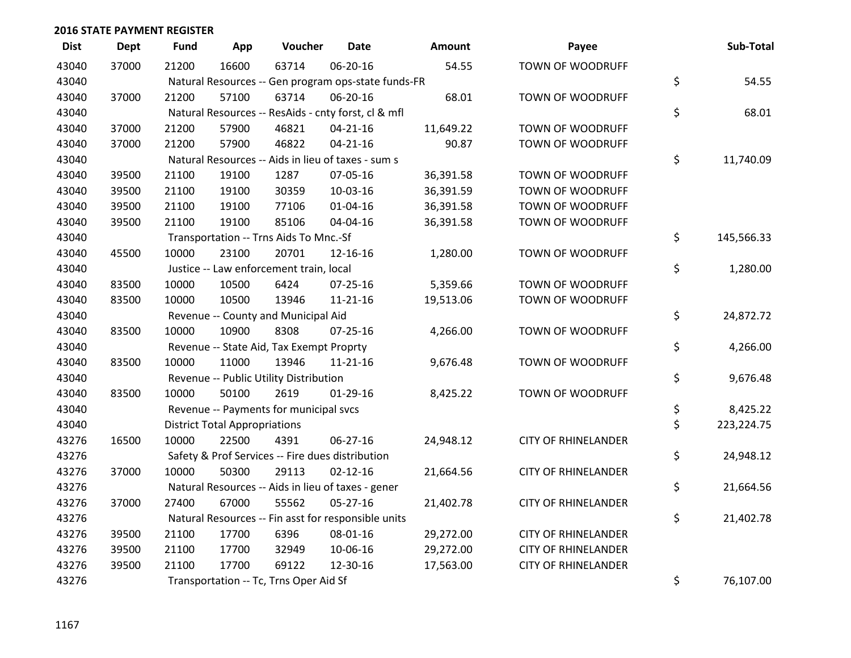| <b>Dist</b> | <b>Dept</b> | Fund  | App                                  | Voucher                                             | <b>Date</b>    | <b>Amount</b> | Payee                      | Sub-Total          |
|-------------|-------------|-------|--------------------------------------|-----------------------------------------------------|----------------|---------------|----------------------------|--------------------|
| 43040       | 37000       | 21200 | 16600                                | 63714                                               | 06-20-16       | 54.55         | <b>TOWN OF WOODRUFF</b>    |                    |
| 43040       |             |       |                                      | Natural Resources -- Gen program ops-state funds-FR |                |               |                            | \$<br>54.55        |
| 43040       | 37000       | 21200 | 57100                                | 63714                                               | 06-20-16       | 68.01         | TOWN OF WOODRUFF           |                    |
| 43040       |             |       |                                      | Natural Resources -- ResAids - cnty forst, cl & mfl |                |               |                            | \$<br>68.01        |
| 43040       | 37000       | 21200 | 57900                                | 46821                                               | $04 - 21 - 16$ | 11,649.22     | TOWN OF WOODRUFF           |                    |
| 43040       | 37000       | 21200 | 57900                                | 46822                                               | $04 - 21 - 16$ | 90.87         | <b>TOWN OF WOODRUFF</b>    |                    |
| 43040       |             |       |                                      | Natural Resources -- Aids in lieu of taxes - sum s  |                |               |                            | \$<br>11,740.09    |
| 43040       | 39500       | 21100 | 19100                                | 1287                                                | 07-05-16       | 36,391.58     | TOWN OF WOODRUFF           |                    |
| 43040       | 39500       | 21100 | 19100                                | 30359                                               | 10-03-16       | 36,391.59     | TOWN OF WOODRUFF           |                    |
| 43040       | 39500       | 21100 | 19100                                | 77106                                               | $01 - 04 - 16$ | 36,391.58     | TOWN OF WOODRUFF           |                    |
| 43040       | 39500       | 21100 | 19100                                | 85106                                               | 04-04-16       | 36,391.58     | TOWN OF WOODRUFF           |                    |
| 43040       |             |       |                                      | Transportation -- Trns Aids To Mnc.-Sf              |                |               |                            | \$<br>145,566.33   |
| 43040       | 45500       | 10000 | 23100                                | 20701                                               | 12-16-16       | 1,280.00      | TOWN OF WOODRUFF           |                    |
| 43040       |             |       |                                      | Justice -- Law enforcement train, local             |                |               |                            | \$<br>1,280.00     |
| 43040       | 83500       | 10000 | 10500                                | 6424                                                | $07 - 25 - 16$ | 5,359.66      | TOWN OF WOODRUFF           |                    |
| 43040       | 83500       | 10000 | 10500                                | 13946                                               | $11 - 21 - 16$ | 19,513.06     | TOWN OF WOODRUFF           |                    |
| 43040       |             |       |                                      | Revenue -- County and Municipal Aid                 |                |               |                            | \$<br>24,872.72    |
| 43040       | 83500       | 10000 | 10900                                | 8308                                                | $07 - 25 - 16$ | 4,266.00      | TOWN OF WOODRUFF           |                    |
| 43040       |             |       |                                      | Revenue -- State Aid, Tax Exempt Proprty            |                |               |                            | \$<br>4,266.00     |
| 43040       | 83500       | 10000 | 11000                                | 13946                                               | 11-21-16       | 9,676.48      | TOWN OF WOODRUFF           |                    |
| 43040       |             |       |                                      | Revenue -- Public Utility Distribution              |                |               |                            | \$<br>9,676.48     |
| 43040       | 83500       | 10000 | 50100                                | 2619                                                | $01-29-16$     | 8,425.22      | TOWN OF WOODRUFF           |                    |
| 43040       |             |       |                                      | Revenue -- Payments for municipal svcs              |                |               |                            | \$<br>8,425.22     |
| 43040       |             |       | <b>District Total Appropriations</b> |                                                     |                |               |                            | \$<br>223, 224. 75 |
| 43276       | 16500       | 10000 | 22500                                | 4391                                                | 06-27-16       | 24,948.12     | <b>CITY OF RHINELANDER</b> |                    |
| 43276       |             |       |                                      | Safety & Prof Services -- Fire dues distribution    |                |               |                            | \$<br>24,948.12    |
| 43276       | 37000       | 10000 | 50300                                | 29113                                               | $02 - 12 - 16$ | 21,664.56     | <b>CITY OF RHINELANDER</b> |                    |
| 43276       |             |       |                                      | Natural Resources -- Aids in lieu of taxes - gener  |                |               |                            | \$<br>21,664.56    |
| 43276       | 37000       | 27400 | 67000                                | 55562                                               | $05 - 27 - 16$ | 21,402.78     | <b>CITY OF RHINELANDER</b> |                    |
| 43276       |             |       |                                      | Natural Resources -- Fin asst for responsible units |                |               |                            | \$<br>21,402.78    |
| 43276       | 39500       | 21100 | 17700                                | 6396                                                | 08-01-16       | 29,272.00     | <b>CITY OF RHINELANDER</b> |                    |
| 43276       | 39500       | 21100 | 17700                                | 32949                                               | 10-06-16       | 29,272.00     | <b>CITY OF RHINELANDER</b> |                    |
| 43276       | 39500       | 21100 | 17700                                | 69122                                               | 12-30-16       | 17,563.00     | <b>CITY OF RHINELANDER</b> |                    |
| 43276       |             |       |                                      | Transportation -- Tc, Trns Oper Aid Sf              |                |               |                            | \$<br>76,107.00    |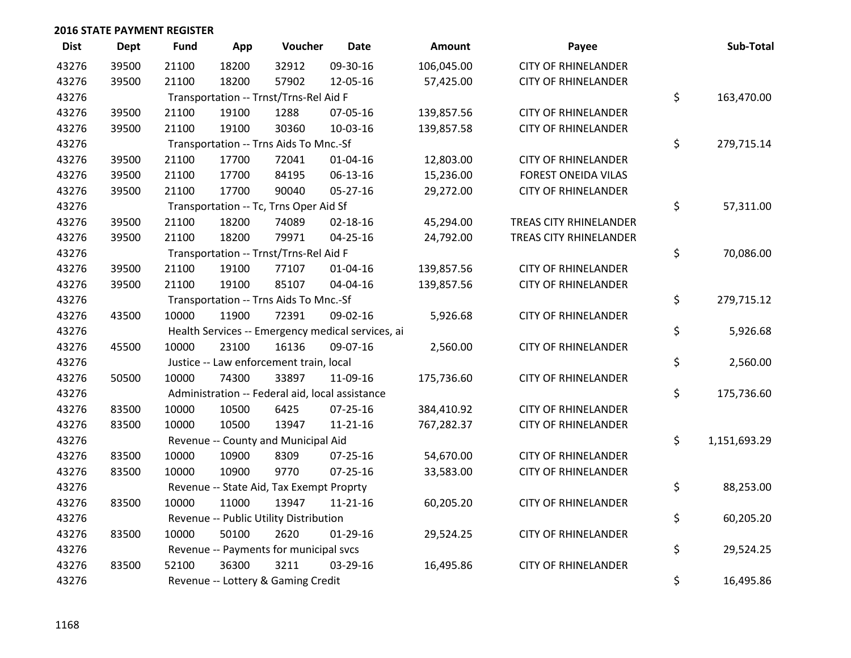| <b>Dist</b> | <b>Dept</b> | <b>Fund</b> | App   | Voucher                                         | <b>Date</b>                                       | Amount     | Payee                      | Sub-Total          |
|-------------|-------------|-------------|-------|-------------------------------------------------|---------------------------------------------------|------------|----------------------------|--------------------|
| 43276       | 39500       | 21100       | 18200 | 32912                                           | 09-30-16                                          | 106,045.00 | <b>CITY OF RHINELANDER</b> |                    |
| 43276       | 39500       | 21100       | 18200 | 57902                                           | 12-05-16                                          | 57,425.00  | <b>CITY OF RHINELANDER</b> |                    |
| 43276       |             |             |       | Transportation -- Trnst/Trns-Rel Aid F          |                                                   |            |                            | \$<br>163,470.00   |
| 43276       | 39500       | 21100       | 19100 | 1288                                            | 07-05-16                                          | 139,857.56 | <b>CITY OF RHINELANDER</b> |                    |
| 43276       | 39500       | 21100       | 19100 | 30360                                           | 10-03-16                                          | 139,857.58 | <b>CITY OF RHINELANDER</b> |                    |
| 43276       |             |             |       | Transportation -- Trns Aids To Mnc.-Sf          |                                                   |            |                            | \$<br>279,715.14   |
| 43276       | 39500       | 21100       | 17700 | 72041                                           | $01 - 04 - 16$                                    | 12,803.00  | <b>CITY OF RHINELANDER</b> |                    |
| 43276       | 39500       | 21100       | 17700 | 84195                                           | 06-13-16                                          | 15,236.00  | <b>FOREST ONEIDA VILAS</b> |                    |
| 43276       | 39500       | 21100       | 17700 | 90040                                           | $05 - 27 - 16$                                    | 29,272.00  | <b>CITY OF RHINELANDER</b> |                    |
| 43276       |             |             |       | Transportation -- Tc, Trns Oper Aid Sf          |                                                   |            |                            | \$<br>57,311.00    |
| 43276       | 39500       | 21100       | 18200 | 74089                                           | $02 - 18 - 16$                                    | 45,294.00  | TREAS CITY RHINELANDER     |                    |
| 43276       | 39500       | 21100       | 18200 | 79971                                           | $04 - 25 - 16$                                    | 24,792.00  | TREAS CITY RHINELANDER     |                    |
| 43276       |             |             |       | Transportation -- Trnst/Trns-Rel Aid F          |                                                   |            |                            | \$<br>70,086.00    |
| 43276       | 39500       | 21100       | 19100 | 77107                                           | 01-04-16                                          | 139,857.56 | <b>CITY OF RHINELANDER</b> |                    |
| 43276       | 39500       | 21100       | 19100 | 85107                                           | 04-04-16                                          | 139,857.56 | <b>CITY OF RHINELANDER</b> |                    |
| 43276       |             |             |       | Transportation -- Trns Aids To Mnc.-Sf          |                                                   |            |                            | \$<br>279,715.12   |
| 43276       | 43500       | 10000       | 11900 | 72391                                           | 09-02-16                                          | 5,926.68   | <b>CITY OF RHINELANDER</b> |                    |
| 43276       |             |             |       |                                                 | Health Services -- Emergency medical services, ai |            |                            | \$<br>5,926.68     |
| 43276       | 45500       | 10000       | 23100 | 16136                                           | 09-07-16                                          | 2,560.00   | <b>CITY OF RHINELANDER</b> |                    |
| 43276       |             |             |       | Justice -- Law enforcement train, local         |                                                   |            |                            | \$<br>2,560.00     |
| 43276       | 50500       | 10000       | 74300 | 33897                                           | 11-09-16                                          | 175,736.60 | <b>CITY OF RHINELANDER</b> |                    |
| 43276       |             |             |       | Administration -- Federal aid, local assistance |                                                   |            |                            | \$<br>175,736.60   |
| 43276       | 83500       | 10000       | 10500 | 6425                                            | 07-25-16                                          | 384,410.92 | <b>CITY OF RHINELANDER</b> |                    |
| 43276       | 83500       | 10000       | 10500 | 13947                                           | $11 - 21 - 16$                                    | 767,282.37 | <b>CITY OF RHINELANDER</b> |                    |
| 43276       |             |             |       | Revenue -- County and Municipal Aid             |                                                   |            |                            | \$<br>1,151,693.29 |
| 43276       | 83500       | 10000       | 10900 | 8309                                            | $07 - 25 - 16$                                    | 54,670.00  | <b>CITY OF RHINELANDER</b> |                    |
| 43276       | 83500       | 10000       | 10900 | 9770                                            | $07 - 25 - 16$                                    | 33,583.00  | <b>CITY OF RHINELANDER</b> |                    |
| 43276       |             |             |       | Revenue -- State Aid, Tax Exempt Proprty        |                                                   |            |                            | \$<br>88,253.00    |
| 43276       | 83500       | 10000       | 11000 | 13947                                           | $11 - 21 - 16$                                    | 60,205.20  | <b>CITY OF RHINELANDER</b> |                    |
| 43276       |             |             |       | Revenue -- Public Utility Distribution          |                                                   |            |                            | \$<br>60,205.20    |
| 43276       | 83500       | 10000       | 50100 | 2620                                            | 01-29-16                                          | 29,524.25  | <b>CITY OF RHINELANDER</b> |                    |
| 43276       |             |             |       | Revenue -- Payments for municipal svcs          |                                                   |            |                            | \$<br>29,524.25    |
| 43276       | 83500       | 52100       | 36300 | 3211                                            | 03-29-16                                          | 16,495.86  | <b>CITY OF RHINELANDER</b> |                    |
| 43276       |             |             |       | Revenue -- Lottery & Gaming Credit              |                                                   |            |                            | \$<br>16,495.86    |